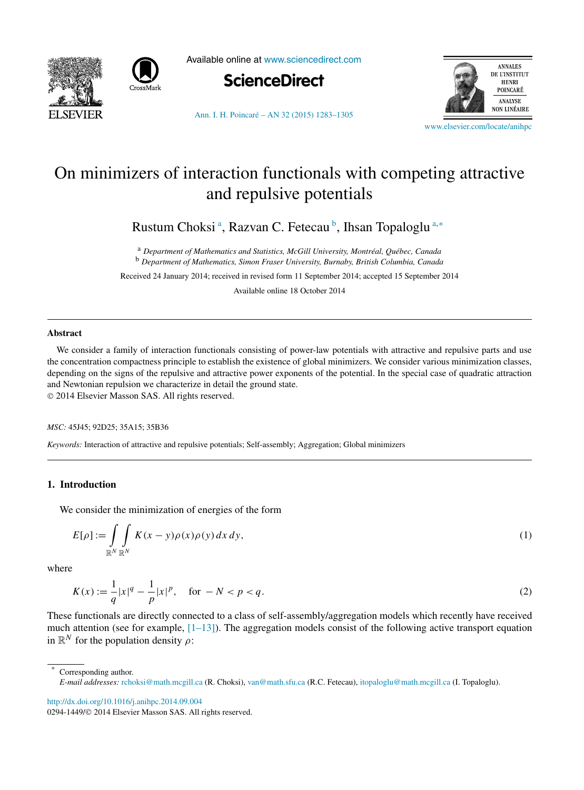<span id="page-0-0"></span>



Available online at [www.sciencedirect.com](http://www.sciencedirect.com)



**ANNALES** DE L'INSTITUT **HENRI** POINCARÉ ANALYSE **NON LINÉAIRE** 

[Ann. I. H. Poincaré – AN 32 \(2015\) 1283–1305](http://dx.doi.org/10.1016/j.anihpc.2014.09.004)

[www.elsevier.com/locate/anihpc](http://www.elsevier.com/locate/anihpc)

# On minimizers of interaction functionals with competing attractive and repulsive potentials

Rustum Choksi<sup>a</sup>, Razvan C. Fetecau<sup>b</sup>, Ihsan Topaloglu<sup>a,\*</sup>

<sup>a</sup> *Department of Mathematics and Statistics, McGill University, Montréal, Québec, Canada* <sup>b</sup> *Department of Mathematics, Simon Fraser University, Burnaby, British Columbia, Canada*

Received 24 January 2014; received in revised form 11 September 2014; accepted 15 September 2014

Available online 18 October 2014

## **Abstract**

We consider a family of interaction functionals consisting of power-law potentials with attractive and repulsive parts and use the concentration compactness principle to establish the existence of global minimizers. We consider various minimization classes, depending on the signs of the repulsive and attractive power exponents of the potential. In the special case of quadratic attraction and Newtonian repulsion we characterize in detail the ground state.

© 2014 Elsevier Masson SAS. All rights reserved.

*MSC:* 45J45; 92D25; 35A15; 35B36

*Keywords:* Interaction of attractive and repulsive potentials; Self-assembly; Aggregation; Global minimizers

# **1. Introduction**

We consider the minimization of energies of the form

$$
E[\rho] := \int\limits_{\mathbb{R}^N} \int\limits_{\mathbb{R}^N} K(x - y) \rho(x) \rho(y) dx dy,
$$
\n(1)

where

$$
K(x) := \frac{1}{q}|x|^q - \frac{1}{p}|x|^p, \quad \text{for } -N < p < q. \tag{2}
$$

These functionals are directly connected to a class of self-assembly/aggregation models which recently have received much attention (see for example,  $[1-13]$ ). The aggregation models consist of the following active transport equation in  $\mathbb{R}^N$  for the population density  $\rho$ :

Corresponding author. *E-mail addresses:* [rchoksi@math.mcgill.ca](mailto:rchoksi@math.mcgill.ca) (R. Choksi), [van@math.sfu.ca](mailto:van@math.sfu.ca) (R.C. Fetecau), [itopaloglu@math.mcgill.ca](mailto:itopaloglu@math.mcgill.ca) (I. Topaloglu).

<http://dx.doi.org/10.1016/j.anihpc.2014.09.004>

0294-1449/© 2014 Elsevier Masson SAS. All rights reserved.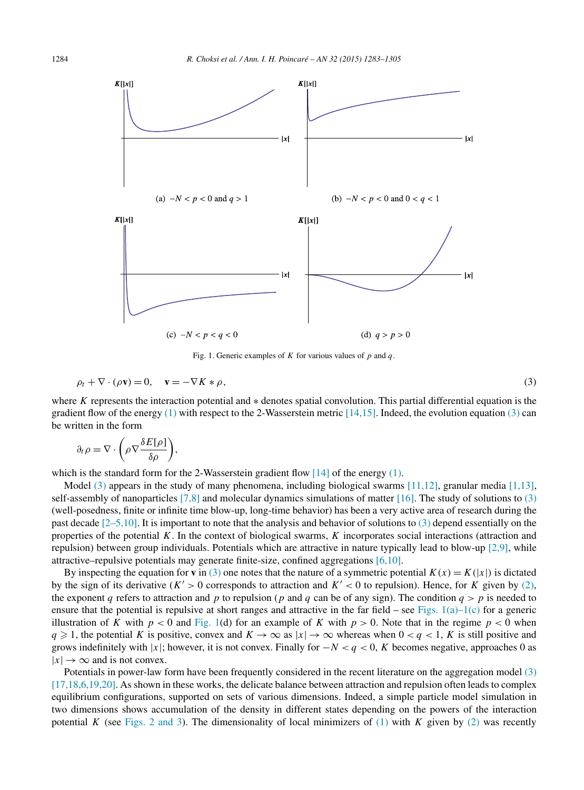<span id="page-1-0"></span>

Fig. 1. Generic examples of *K* for various values of *p* and *q*.

$$
\rho_t + \nabla \cdot (\rho \mathbf{v}) = 0, \quad \mathbf{v} = -\nabla K * \rho,
$$
\n<sup>(3)</sup>

where *K* represents the interaction potential and ∗ denotes spatial convolution. This partial differential equation is the gradient flow of the energy  $(1)$  with respect to the 2-Wasserstein metric [\[14,15\].](#page-21-0) Indeed, the evolution equation (3) can be written in the form

$$
\partial_t \rho = \nabla \cdot \bigg(\rho \nabla \frac{\delta E[\rho]}{\delta \rho}\bigg),\,
$$

which is the standard form for the 2-Wasserstein gradient flow  $[14]$  of the energy [\(1\).](#page-0-0)

Model (3) appears in the study of many phenomena, including biological swarms  $[11,12]$ , granular media  $[1,13]$ , self-assembly of nanoparticles  $[7,8]$  and molecular dynamics simulations of matter  $[16]$ . The study of solutions to  $(3)$ (well-posedness, finite or infinite time blow-up, long-time behavior) has been a very active area of research during the past decade [\[2–5,10\].](#page-20-0) It is important to note that the analysis and behavior of solutions to (3) depend essentially on the properties of the potential *K*. In the context of biological swarms, *K* incorporates social interactions (attraction and repulsion) between group individuals. Potentials which are attractive in nature typically lead to blow-up [\[2,9\],](#page-20-0) while attractive–repulsive potentials may generate finite-size, confined aggregations [\[6,10\].](#page-20-0)

By inspecting the equation for **v** in (3) one notes that the nature of a symmetric potential  $K(x) = K(|x|)$  is dictated by the sign of its derivative ( $K' > 0$  corresponds to attraction and  $K' < 0$  to repulsion). Hence, for *K* given by [\(2\),](#page-0-0) the exponent *q* refers to attraction and *p* to repulsion (*p* and *q* can be of any sign). The condition  $q > p$  is needed to ensure that the potential is repulsive at short ranges and attractive in the far field – see Figs.  $1(a)-1(c)$  for a generic illustration of *K* with  $p < 0$  and Fig. 1(d) for an example of *K* with  $p > 0$ . Note that in the regime  $p < 0$  when *q* ≥ 1, the potential *K* is positive, convex and  $K \to \infty$  as  $|x| \to \infty$  whereas when  $0 < q < 1$ , *K* is still positive and grows indefinitely with |*x*|; however, it is not convex. Finally for  $-N < q < 0$ , *K* becomes negative, approaches 0 as  $|x| \to \infty$  and is not convex.

Potentials in power-law form have been frequently considered in the recent literature on the aggregation model (3) [17,18,6,19,20]. As shown in these works, the delicate balance between attraction and repulsion often leads to complex equilibrium configurations, supported on sets of various dimensions. Indeed, a simple particle model simulation in two dimensions shows accumulation of the density in different states depending on the powers of the interaction potential *K* (see [Figs. 2 and](#page-2-0) 3). The dimensionality of local minimizers of  $(1)$  with *K* given by  $(2)$  was recently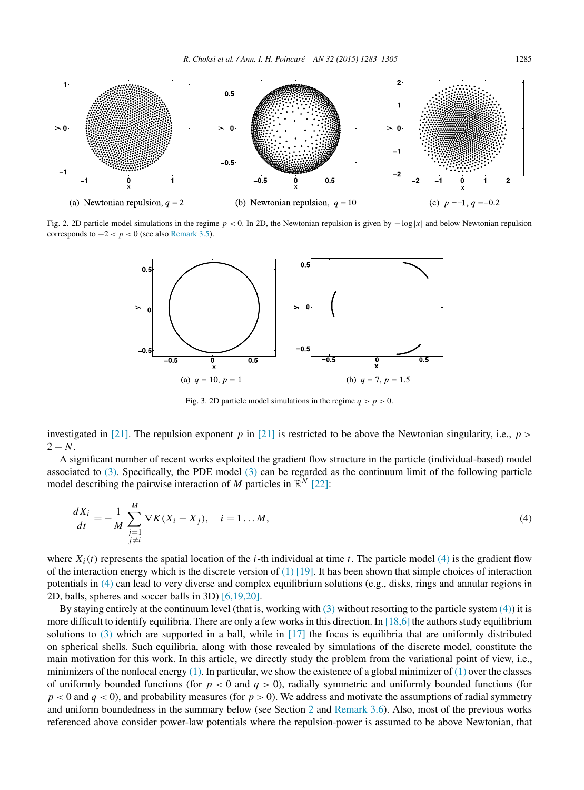<span id="page-2-0"></span>

Fig. 2. 2D particle model simulations in the regime *p <* 0. In 2D, the Newtonian repulsion is given by −log |*x*| and below Newtonian repulsion corresponds to  $-2 < p < 0$  (see also [Remark 3.5\)](#page-15-0).



Fig. 3. 2D particle model simulations in the regime  $q > p > 0$ .

investigated in [\[21\].](#page-21-0) The repulsion exponent *p* in [\[21\]](#page-21-0) is restricted to be above the Newtonian singularity, i.e.,  $p >$  $2 - N$ .

A significant number of recent works exploited the gradient flow structure in the particle (individual-based) model associated to [\(3\).](#page-1-0) Specifically, the PDE model [\(3\)](#page-1-0) can be regarded as the continuum limit of the following particle model describing the pairwise interaction of *M* particles in  $\mathbb{R}^N$  [\[22\]:](#page-21-0)

$$
\frac{dX_i}{dt} = -\frac{1}{M} \sum_{\substack{j=1 \ j \neq i}}^{M} \nabla K(X_i - X_j), \quad i = 1...M,
$$
\n(4)

where  $X_i(t)$  represents the spatial location of the *i*-th individual at time *t*. The particle model (4) is the gradient flow of the interaction energy which is the discrete version of  $(1)$  [19]. It has been shown that simple choices of interaction potentials in (4) can lead to very diverse and complex equilibrium solutions (e.g., disks, rings and annular regions in 2D, balls, spheres and soccer balls in 3D) [\[6,19,20\].](#page-20-0)

By staying entirely at the continuum level (that is, working with [\(3\)](#page-1-0) without resorting to the particle system (4)) it is more difficult to identify equilibria. There are only a few works in this direction. In  $[18,6]$  the authors study equilibrium solutions to [\(3\)](#page-1-0) which are supported in a ball, while in [\[17\]](#page-21-0) the focus is equilibria that are uniformly distributed on spherical shells. Such equilibria, along with those revealed by simulations of the discrete model, constitute the main motivation for this work. In this article, we directly study the problem from the variational point of view, i.e., minimizers of the nonlocal energy  $(1)$ . In particular, we show the existence of a global minimizer of  $(1)$  over the classes of uniformly bounded functions (for  $p < 0$  and  $q > 0$ ), radially symmetric and uniformly bounded functions (for  $p < 0$  and  $q < 0$ ), and probability measures (for  $p > 0$ ). We address and motivate the assumptions of radial symmetry and uniform boundedness in the summary below (see Section [2](#page-4-0) and [Remark 3.6\)](#page-15-0). Also, most of the previous works referenced above consider power-law potentials where the repulsion-power is assumed to be above Newtonian, that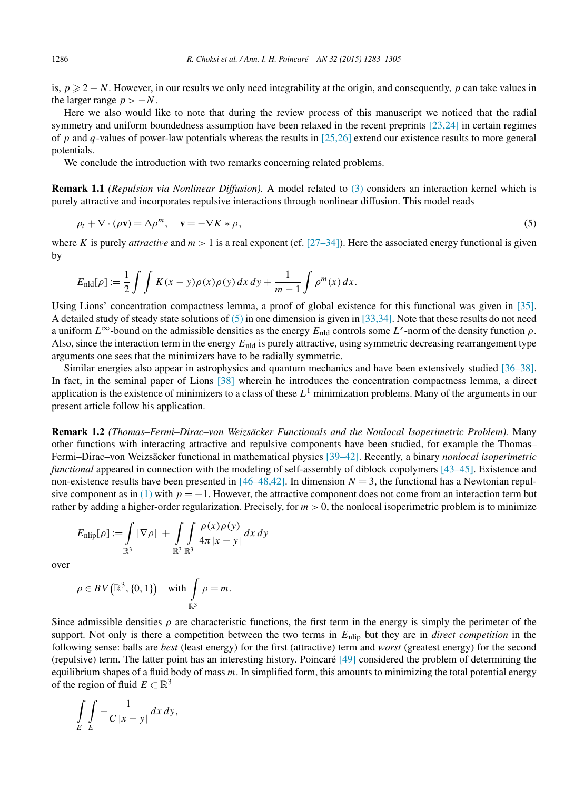<span id="page-3-0"></span>is,  $p \geq 2 - N$ . However, in our results we only need integrability at the origin, and consequently, p can take values in the larger range  $p > -N$ .

Here we also would like to note that during the review process of this manuscript we noticed that the radial symmetry and uniform boundedness assumption have been relaxed in the recent preprints [\[23,24\]](#page-21-0) in certain regimes of *p* and *q*-values of power-law potentials whereas the results in [\[25,26\]](#page-21-0) extend our existence results to more general potentials.

We conclude the introduction with two remarks concerning related problems.

**Remark 1.1** *(Repulsion via Nonlinear Diffusion).* A model related to [\(3\)](#page-1-0) considers an interaction kernel which is purely attractive and incorporates repulsive interactions through nonlinear diffusion. This model reads

$$
\rho_t + \nabla \cdot (\rho \mathbf{v}) = \Delta \rho^m, \quad \mathbf{v} = -\nabla K * \rho,
$$
\n<sup>(5)</sup>

where *K* is purely *attractive* and  $m > 1$  is a real exponent (cf.  $[27–34]$ ). Here the associated energy functional is given by

$$
E_{\rm nld}[\rho] := \frac{1}{2} \int \int K(x - y) \rho(x) \rho(y) dx dy + \frac{1}{m-1} \int \rho^m(x) dx.
$$

Using Lions' concentration compactness lemma, a proof of global existence for this functional was given in [\[35\].](#page-21-0) A detailed study of steady state solutions of (5) in one dimension is given in [\[33,34\].](#page-21-0) Note that these results do not need a uniform  $L^{\infty}$ -bound on the admissible densities as the energy  $E_{\text{nld}}$  controls some  $L^s$ -norm of the density function  $\rho$ . Also, since the interaction term in the energy *E*nld is purely attractive, using symmetric decreasing rearrangement type arguments one sees that the minimizers have to be radially symmetric.

Similar energies also appear in astrophysics and quantum mechanics and have been extensively studied [\[36–38\].](#page-21-0) In fact, in the seminal paper of Lions [\[38\]](#page-21-0) wherein he introduces the concentration compactness lemma, a direct application is the existence of minimizers to a class of these *L*<sup>1</sup> minimization problems. Many of the arguments in our present article follow his application.

**Remark 1.2** *(Thomas–Fermi–Dirac–von Weizsäcker Functionals and the Nonlocal Isoperimetric Problem).* Many other functions with interacting attractive and repulsive components have been studied, for example the Thomas– Fermi–Dirac–von Weizsäcker functional in mathematical physics [\[39–42\].](#page-21-0) Recently, a binary *nonlocal isoperimetric functional* appeared in connection with the modeling of self-assembly of diblock copolymers [\[43–45\].](#page-21-0) Existence and non-existence results have been presented in  $[46–48,42]$ . In dimension  $N = 3$ , the functional has a Newtonian repul-sive component as in [\(1\)](#page-0-0) with  $p = -1$ . However, the attractive component does not come from an interaction term but rather by adding a higher-order regularization. Precisely, for *m >* 0, the nonlocal isoperimetric problem is to minimize

$$
E_{\text{nlip}}[\rho] := \int_{\mathbb{R}^3} |\nabla \rho| + \int_{\mathbb{R}^3} \int_{\mathbb{R}^3} \frac{\rho(x)\rho(y)}{4\pi |x - y|} dx dy
$$

over

$$
\rho \in BV\big(\mathbb{R}^3, \{0, 1\}\big) \quad \text{with} \int_{\mathbb{R}^3} \rho = m.
$$

Since admissible densities  $\rho$  are characteristic functions, the first term in the energy is simply the perimeter of the support. Not only is there a competition between the two terms in *E*nlip but they are in *direct competition* in the following sense: balls are *best* (least energy) for the first (attractive) term and *worst* (greatest energy) for the second (repulsive) term. The latter point has an interesting history. Poincaré [\[49\]](#page-21-0) considered the problem of determining the equilibrium shapes of a fluid body of mass *m*. In simplified form, this amounts to minimizing the total potential energy of the region of fluid  $E \subset \mathbb{R}^3$ 

$$
\int\limits_E \int\limits_E -\frac{1}{C\,|x-y|}\,dx\,dy,
$$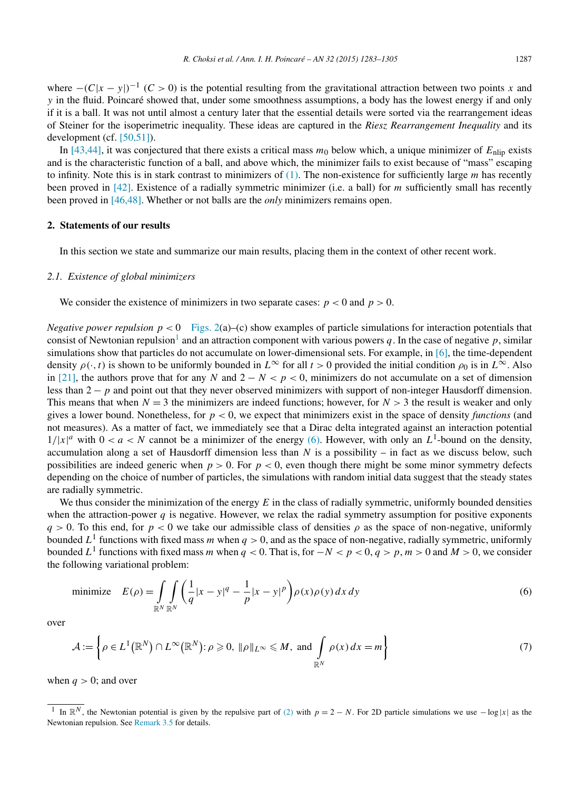<span id="page-4-0"></span>where  $-(C|x - y|)^{-1}$  (*C* > 0) is the potential resulting from the gravitational attraction between two points *x* and *y* in the fluid. Poincaré showed that, under some smoothness assumptions, a body has the lowest energy if and only if it is a ball. It was not until almost a century later that the essential details were sorted via the rearrangement ideas of Steiner for the isoperimetric inequality. These ideas are captured in the *Riesz Rearrangement Inequality* and its development (cf. [\[50,51\]\)](#page-21-0).

In  $[43,44]$ , it was conjectured that there exists a critical mass  $m_0$  below which, a unique minimizer of  $E_{\text{nlip}}$  exists and is the characteristic function of a ball, and above which, the minimizer fails to exist because of "mass" escaping to infinity. Note this is in stark contrast to minimizers of [\(1\).](#page-0-0) The non-existence for sufficiently large *m* has recently been proved in [\[42\].](#page-21-0) Existence of a radially symmetric minimizer (i.e. a ball) for *m* sufficiently small has recently been proved in [\[46,48\].](#page-21-0) Whether or not balls are the *only* minimizers remains open.

# **2. Statements of our results**

In this section we state and summarize our main results, placing them in the context of other recent work.

## *2.1. Existence of global minimizers*

We consider the existence of minimizers in two separate cases:  $p < 0$  and  $p > 0$ .

*Negative power repulsion p <* 0 [Figs. 2\(](#page-2-0)a)–(c) show examples of particle simulations for interaction potentials that consist of Newtonian repulsion<sup>1</sup> and an attraction component with various powers q. In the case of negative p, similar simulations show that particles do not accumulate on lower-dimensional sets. For example, in [\[6\],](#page-20-0) the time-dependent density  $\rho(\cdot, t)$  is shown to be uniformly bounded in  $L^{\infty}$  for all  $t > 0$  provided the initial condition  $\rho_0$  is in  $L^{\infty}$ . Also in [\[21\],](#page-21-0) the authors prove that for any *N* and  $2 - N < p < 0$ , minimizers do not accumulate on a set of dimension less than 2 − *p* and point out that they never observed minimizers with support of non-integer Hausdorff dimension. This means that when  $N = 3$  the minimizers are indeed functions; however, for  $N > 3$  the result is weaker and only gives a lower bound. Nonetheless, for *p <* 0, we expect that minimizers exist in the space of density *functions* (and not measures). As a matter of fact, we immediately see that a Dirac delta integrated against an interaction potential  $1/|x|^a$  with  $0 < a < N$  cannot be a minimizer of the energy (6). However, with only an  $L^1$ -bound on the density, accumulation along a set of Hausdorff dimension less than *N* is a possibility – in fact as we discuss below, such possibilities are indeed generic when  $p > 0$ . For  $p < 0$ , even though there might be some minor symmetry defects depending on the choice of number of particles, the simulations with random initial data suggest that the steady states are radially symmetric.

We thus consider the minimization of the energy *E* in the class of radially symmetric, uniformly bounded densities when the attraction-power  $q$  is negative. However, we relax the radial symmetry assumption for positive exponents *q >* 0. To this end, for *p <* 0 we take our admissible class of densities *ρ* as the space of non-negative, uniformly bounded  $L<sup>1</sup>$  functions with fixed mass *m* when  $q > 0$ , and as the space of non-negative, radially symmetric, uniformly bounded *L*<sup>1</sup> functions with fixed mass *m* when  $q < 0$ . That is, for  $-N < p < 0$ ,  $q > p$ ,  $m > 0$  and  $M > 0$ , we consider the following variational problem:

minimize 
$$
E(\rho) = \int_{\mathbb{R}^N} \int_{\mathbb{R}^N} \left( \frac{1}{q} |x - y|^q - \frac{1}{p} |x - y|^p \right) \rho(x) \rho(y) dx dy
$$
 (6)

over

$$
\mathcal{A} := \left\{ \rho \in L^1(\mathbb{R}^N) \cap L^\infty(\mathbb{R}^N) : \rho \geqslant 0, \ \|\rho\|_{L^\infty} \leqslant M, \text{ and } \int_{\mathbb{R}^N} \rho(x) \, dx = m \right\} \tag{7}
$$

when  $q > 0$ ; and over

<sup>&</sup>lt;sup>1</sup> In  $\mathbb{R}^N$ , the Newtonian potential is given by the repulsive part of [\(2\)](#page-0-0) with  $p = 2 - N$ . For 2D particle simulations we use  $-\log |x|$  as the Newtonian repulsion. See [Remark 3.5](#page-15-0) for details.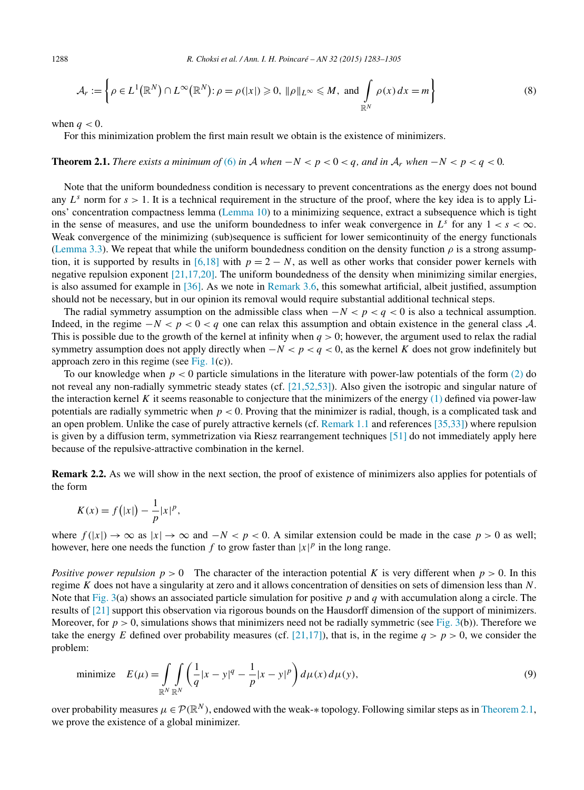$$
\mathcal{A}_r := \left\{ \rho \in L^1(\mathbb{R}^N) \cap L^\infty(\mathbb{R}^N) : \rho = \rho(|x|) \geqslant 0, \ \|\rho\|_{L^\infty} \leqslant M, \text{ and } \int_{\mathbb{R}^N} \rho(x) \, dx = m \right\}
$$
(8)

when  $q < 0$ .

For this minimization problem the first main result we obtain is the existence of minimizers.

# **Theorem 2.1.** *There exists a minimum of* [\(6\)](#page-4-0) *in*  $A$  *when*  $-N < p < q$ ,  $a$ *, and in*  $A_r$  *when*  $-N < p < q < 0$ .

Note that the uniform boundedness condition is necessary to prevent concentrations as the energy does not bound any  $L^s$  norm for  $s > 1$ . It is a technical requirement in the structure of the proof, where the key idea is to apply Lions' concentration compactness lemma [\(Lemma 10\)](#page-7-0) to a minimizing sequence, extract a subsequence which is tight in the sense of measures, and use the uniform boundedness to infer weak convergence in  $L^s$  for any  $1 < s < \infty$ . Weak convergence of the minimizing (sub)sequence is sufficient for lower semicontinuity of the energy functionals [\(Lemma 3.3\)](#page-7-0). We repeat that while the uniform boundedness condition on the density function  $\rho$  is a strong assump-tion, it is supported by results in [\[6,18\]](#page-20-0) with  $p = 2 - N$ , as well as other works that consider power kernels with negative repulsion exponent [\[21,17,20\].](#page-21-0) The uniform boundedness of the density when minimizing similar energies, is also assumed for example in [\[36\].](#page-21-0) As we note in [Remark 3.6,](#page-15-0) this somewhat artificial, albeit justified, assumption should not be necessary, but in our opinion its removal would require substantial additional technical steps.

The radial symmetry assumption on the admissible class when  $-N < p < q < 0$  is also a technical assumption. Indeed, in the regime  $-N < p < 0 < q$  one can relax this assumption and obtain existence in the general class A. This is possible due to the growth of the kernel at infinity when  $q > 0$ ; however, the argument used to relax the radial symmetry assumption does not apply directly when  $-N < p < q < 0$ , as the kernel *K* does not grow indefinitely but approach zero in this regime (see [Fig. 1\(](#page-1-0)c)).

To our knowledge when *p <* 0 particle simulations in the literature with power-law potentials of the form [\(2\)](#page-0-0) do not reveal any non-radially symmetric steady states (cf. [\[21,52,53\]\)](#page-21-0). Also given the isotropic and singular nature of the interaction kernel *K* it seems reasonable to conjecture that the minimizers of the energy [\(1\)](#page-0-0) defined via power-law potentials are radially symmetric when *p <* 0. Proving that the minimizer is radial, though, is a complicated task and an open problem. Unlike the case of purely attractive kernels (cf. [Remark 1.1](#page-3-0) and references [\[35,33\]\)](#page-21-0) where repulsion is given by a diffusion term, symmetrization via Riesz rearrangement techniques [\[51\]](#page-21-0) do not immediately apply here because of the repulsive-attractive combination in the kernel.

**Remark 2.2.** As we will show in the next section, the proof of existence of minimizers also applies for potentials of the form

$$
K(x) = f(|x|) - \frac{1}{p}|x|^p,
$$

where  $f(|x|) \to \infty$  as  $|x| \to \infty$  and  $-N < p < 0$ . A similar extension could be made in the case  $p > 0$  as well; however, here one needs the function  $f$  to grow faster than  $|x|^p$  in the long range.

*Positive power repulsion*  $p > 0$  The character of the interaction potential *K* is very different when  $p > 0$ . In this regime *K* does not have a singularity at zero and it allows concentration of densities on sets of dimension less than *N*. Note that [Fig. 3\(](#page-2-0)a) shows an associated particle simulation for positive *p* and *q* with accumulation along a circle. The results of [\[21\]](#page-21-0) support this observation via rigorous bounds on the Hausdorff dimension of the support of minimizers. Moreover, for  $p > 0$ , simulations shows that minimizers need not be radially symmetric (see [Fig. 3\(](#page-2-0)b)). Therefore we take the energy *E* defined over probability measures (cf. [\[21,17\]\)](#page-21-0), that is, in the regime  $q > p > 0$ , we consider the problem:

minimize 
$$
E(\mu) = \int_{\mathbb{R}^N} \int_{\mathbb{R}^N} \left( \frac{1}{q} |x - y|^q - \frac{1}{p} |x - y|^p \right) d\mu(x) d\mu(y)
$$
, (9)

over probability measures  $\mu \in \mathcal{P}(\mathbb{R}^N)$ , endowed with the weak-\* topology. Following similar steps as in Theorem 2.1, we prove the existence of a global minimizer.

<span id="page-5-0"></span>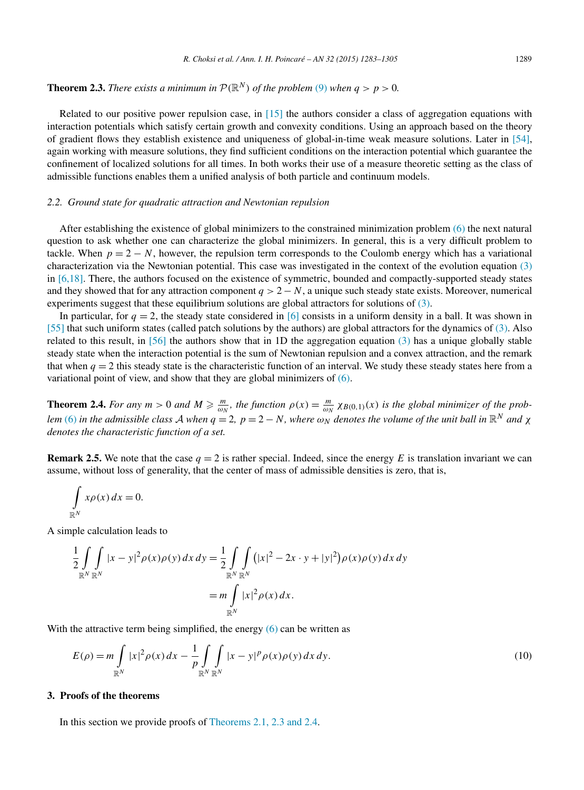<span id="page-6-0"></span>**Theorem 2.3.** *There exists a minimum in*  $P(\mathbb{R}^N)$  *of the problem* [\(9\)](#page-5-0) *when*  $q > p > 0$ *.* 

Related to our positive power repulsion case, in [\[15\]](#page-21-0) the authors consider a class of aggregation equations with interaction potentials which satisfy certain growth and convexity conditions. Using an approach based on the theory of gradient flows they establish existence and uniqueness of global-in-time weak measure solutions. Later in [\[54\],](#page-22-0) again working with measure solutions, they find sufficient conditions on the interaction potential which guarantee the confinement of localized solutions for all times. In both works their use of a measure theoretic setting as the class of admissible functions enables them a unified analysis of both particle and continuum models.

#### *2.2. Ground state for quadratic attraction and Newtonian repulsion*

After establishing the existence of global minimizers to the constrained minimization problem [\(6\)](#page-4-0) the next natural question to ask whether one can characterize the global minimizers. In general, this is a very difficult problem to tackle. When  $p = 2 - N$ , however, the repulsion term corresponds to the Coulomb energy which has a variational characterization via the Newtonian potential. This case was investigated in the context of the evolution equation [\(3\)](#page-1-0) in [\[6,18\].](#page-20-0) There, the authors focused on the existence of symmetric, bounded and compactly-supported steady states and they showed that for any attraction component  $q > 2 - N$ , a unique such steady state exists. Moreover, numerical experiments suggest that these equilibrium solutions are global attractors for solutions of [\(3\).](#page-1-0)

In particular, for  $q = 2$ , the steady state considered in [\[6\]](#page-20-0) consists in a uniform density in a ball. It was shown in [\[55\]](#page-22-0) that such uniform states (called patch solutions by the authors) are global attractors for the dynamics of [\(3\).](#page-1-0) Also related to this result, in [\[56\]](#page-22-0) the authors show that in 1D the aggregation equation [\(3\)](#page-1-0) has a unique globally stable steady state when the interaction potential is the sum of Newtonian repulsion and a convex attraction, and the remark that when  $q = 2$  this steady state is the characteristic function of an interval. We study these steady states here from a variational point of view, and show that they are global minimizers of [\(6\).](#page-4-0)

**Theorem 2.4.** For any  $m > 0$  and  $M \ge \frac{m}{\omega_N}$ , the function  $\rho(x) = \frac{m}{\omega_N} \chi_{B(0,1)}(x)$  is the global minimizer of the prob-lem [\(6\)](#page-4-0) in the admissible class A when  $q = 2$ ,  $p = 2 - N$ , where  $\omega_N$  denotes the volume of the unit ball in  $\mathbb{R}^N$  and  $\chi$ *denotes the characteristic function of a set.*

**Remark 2.5.** We note that the case  $q = 2$  is rather special. Indeed, since the energy *E* is translation invariant we can assume, without loss of generality, that the center of mass of admissible densities is zero, that is,

$$
\int\limits_{\mathbb{R}^N} x\rho(x) \, dx = 0.
$$

A simple calculation leads to

$$
\frac{1}{2} \int_{\mathbb{R}^N} \int_{\mathbb{R}^N} |x - y|^2 \rho(x) \rho(y) dx dy = \frac{1}{2} \int_{\mathbb{R}^N} \int_{\mathbb{R}^N} (|x|^2 - 2x \cdot y + |y|^2) \rho(x) \rho(y) dx dy
$$
  
=  $m \int_{\mathbb{R}^N} |x|^2 \rho(x) dx.$ 

With the attractive term being simplified, the energy [\(6\)](#page-4-0) can be written as

$$
E(\rho) = m \int_{\mathbb{R}^N} |x|^2 \rho(x) dx - \frac{1}{p} \int_{\mathbb{R}^N} \int_{\mathbb{R}^N} |x - y|^p \rho(x) \rho(y) dx dy.
$$
 (10)

#### **3. Proofs of the theorems**

In this section we provide proofs of [Theorems 2.1,](#page-5-0) 2.3 and 2.4.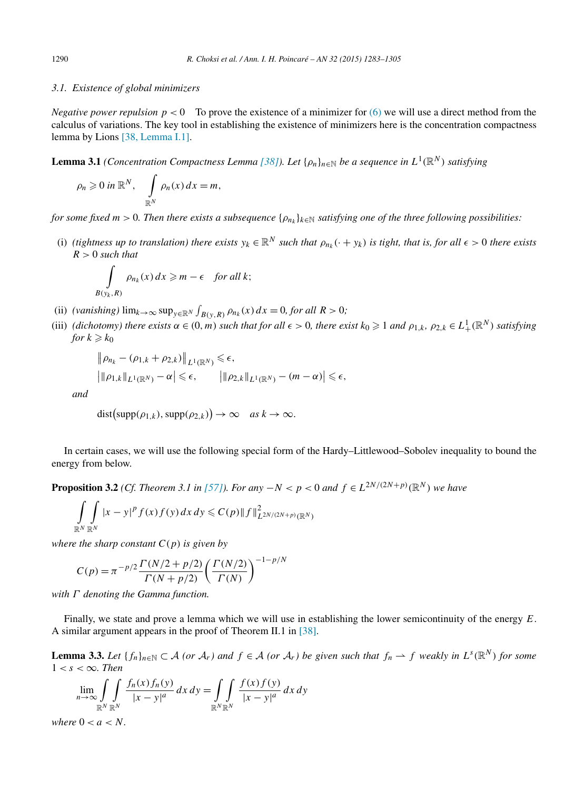## <span id="page-7-0"></span>*3.1. Existence of global minimizers*

*Negative power repulsion*  $p < 0$  To prove the existence of a minimizer for [\(6\)](#page-4-0) we will use a direct method from the calculus of variations. The key tool in establishing the existence of minimizers here is the concentration compactness lemma by Lions [38, [Lemma](#page-21-0) I.1].

**Lemma 3.1** (Concentration Compactness Lemma [\[38\]\)](#page-21-0). Let  $\{\rho_n\}_{n\in\mathbb{N}}$  be a sequence in  $L^1(\mathbb{R}^N)$  satisfying

$$
\rho_n \geqslant 0 \text{ in } \mathbb{R}^N, \quad \int\limits_{\mathbb{R}^N} \rho_n(x) \, dx = m,
$$

for some fixed  $m > 0$ . Then there exists a subsequence  $\{\rho_{n_k}\}_{k \in \mathbb{N}}$  satisfying one of the three following possibilities:

(i) (tightness up to translation) there exists  $y_k \in \mathbb{R}^N$  such that  $\rho_{n_k}(\cdot + y_k)$  is tight, that is, for all  $\epsilon > 0$  there exists *R >* 0 *such that*

$$
\int_{B(y_k,R)} \rho_{n_k}(x) dx \ge m - \epsilon \quad \text{for all } k;
$$

- (ii) *(vanishing)*  $\lim_{k \to \infty} \sup_{y \in \mathbb{R}^N} \int_{B(y,R)} \rho_{n_k}(x) dx = 0$ , for all  $R > 0$ ;
- (iii) (dichotomy) there exists  $\alpha \in (0, m)$  such that for all  $\epsilon > 0$ , there exist  $k_0 \geq 1$  and  $\rho_{1,k}$ ,  $\rho_{2,k} \in L^1_+(\mathbb{R}^N)$  satisfying *for*  $k \geqslant k_0$

$$
\|\rho_{n_k} - (\rho_{1,k} + \rho_{2,k})\|_{L^1(\mathbb{R}^N)} \le \epsilon,
$$
  

$$
\|\rho_{1,k}\|_{L^1(\mathbb{R}^N)} - \alpha\| \le \epsilon, \qquad \|\rho_{2,k}\|_{L^1(\mathbb{R}^N)} - (m - \alpha)\| \le \epsilon,
$$

*and*

$$
dist(supp(\rho_{1,k}), supp(\rho_{2,k})) \to \infty \quad as \ k \to \infty.
$$

In certain cases, we will use the following special form of the Hardy–Littlewood–Sobolev inequality to bound the energy from below.

**Proposition 3.2** (Cf. Theorem 3.1 in [\[57\]\)](#page-22-0). For any  $-N < p < 0$  and  $f \in L^{2N/(2N+p)}(\mathbb{R}^N)$  we have

$$
\int_{\mathbb{R}^N} \int_{\mathbb{R}^N} |x - y|^p f(x) f(y) dx dy \leq C(p) \|f\|_{L^{2N/(2N+p)}(\mathbb{R}^N)}^2
$$

*where the sharp constant*  $C(p)$  *is given by* 

$$
C(p) = \pi^{-p/2} \frac{\Gamma(N/2 + p/2)}{\Gamma(N + p/2)} \left(\frac{\Gamma(N/2)}{\Gamma(N)}\right)^{-1 - p/N}
$$

*with Γ denoting the Gamma function.*

Finally, we state and prove a lemma which we will use in establishing the lower semicontinuity of the energy *E*. A similar argument appears in the proof of Theorem II.1 in [\[38\].](#page-21-0)

**Lemma 3.3.** Let  $\{f_n\}_{n\in\mathbb{N}}\subset\mathcal{A}$  (or  $\mathcal{A}_r$ ) and  $f\in\mathcal{A}$  (or  $\mathcal{A}_r$ ) be given such that  $f_n\to f$  weakly in  $L^s(\mathbb{R}^N)$  for some  $1 < s < \infty$ *. Then* 

$$
\lim_{n \to \infty} \int\limits_{\mathbb{R}^N} \int\limits_{\mathbb{R}^N} \frac{f_n(x) f_n(y)}{|x - y|^a} dx dy = \int\limits_{\mathbb{R}^N} \int\limits_{\mathbb{R}^N} \frac{f(x) f(y)}{|x - y|^a} dx dy
$$

*where*  $0 < a < N$ .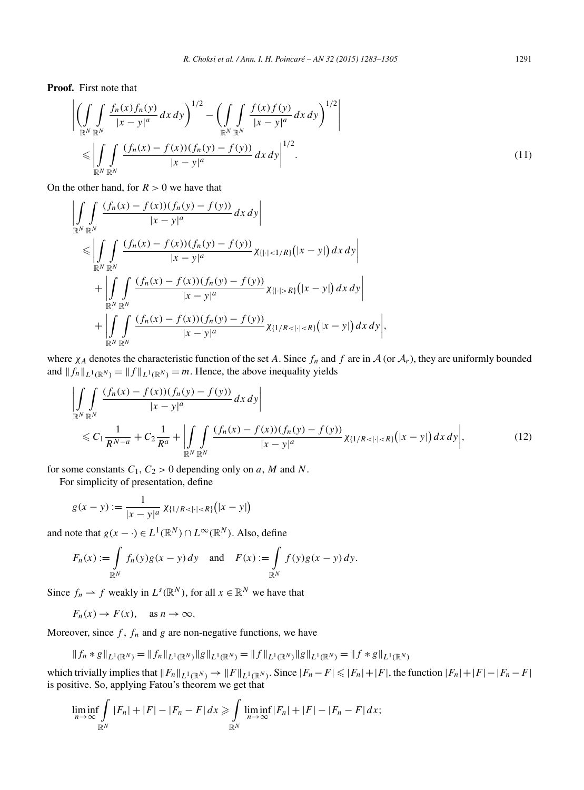<span id="page-8-0"></span>**Proof.** First note that

$$
\left| \left( \int_{\mathbb{R}^N} \int_{\mathbb{R}^N} \frac{f_n(x) f_n(y)}{|x - y|^a} dx dy \right)^{1/2} - \left( \int_{\mathbb{R}^N} \int_{\mathbb{R}^N} \frac{f(x) f(y)}{|x - y|^a} dx dy \right)^{1/2} \right|
$$
  
\$\leqslant \left| \int\_{\mathbb{R}^N} \int\_{\mathbb{R}^N} \frac{(f\_n(x) - f(x)) (f\_n(y) - f(y))}{|x - y|^a} dx dy \right|^{1/2} . \tag{11}

On the other hand, for  $R > 0$  we have that

$$
\left| \iint_{\mathbb{R}^N} \frac{(f_n(x) - f(x))(f_n(y) - f(y))}{|x - y|^a} dx dy \right|
$$
  
\n
$$
\leq \left| \iint_{\mathbb{R}^N} \frac{(f_n(x) - f(x))(f_n(y) - f(y))}{|x - y|^a} \chi_{\{| \cdot | < 1/R\}}(|x - y|) dx dy \right|
$$
  
\n
$$
+ \left| \iint_{\mathbb{R}^N} \frac{(f_n(x) - f(x))(f_n(y) - f(y))}{|x - y|^a} \chi_{\{| \cdot | > R\}}(|x - y|) dx dy \right|
$$
  
\n
$$
+ \left| \iint_{\mathbb{R}^N} \frac{(f_n(x) - f(x))(f_n(y) - f(y))}{|x - y|^a} \chi_{\{| \cdot | < R\}}(|x - y|) dx dy \right|,
$$

where  $\chi_A$  denotes the characteristic function of the set *A*. Since  $f_n$  and  $f$  are in  $\mathcal A$  (or  $\mathcal A_r$ ), they are uniformly bounded and  $||f_n||_{L^1(\mathbb{R}^N)} = ||f||_{L^1(\mathbb{R}^N)} = m$ . Hence, the above inequality yields

$$
\left| \iint_{\mathbb{R}^N} \frac{(f_n(x) - f(x))(f_n(y) - f(y))}{|x - y|^a} dx dy \right|
$$
  
\$\leq C\_1 \frac{1}{R^{N-a}} + C\_2 \frac{1}{R^a} + \left| \iint\_{\mathbb{R}^N} \frac{(f\_n(x) - f(x))(f\_n(y) - f(y))}{|x - y|^a} \chi\_{\{1/R < |x| < R\}}(|x - y|) dx dy \right|\$, \tag{12}

for some constants  $C_1$ ,  $C_2 > 0$  depending only on *a*, *M* and *N*.

For simplicity of presentation, define

$$
g(x - y) := \frac{1}{|x - y|^a} \chi_{\{1/R < |x| < R\}}(|x - y|)
$$

and note that  $g(x - \cdot) \in L^1(\mathbb{R}^N) \cap L^\infty(\mathbb{R}^N)$ . Also, define

$$
F_n(x) := \int_{\mathbb{R}^N} f_n(y)g(x - y) dy \quad \text{and} \quad F(x) := \int_{\mathbb{R}^N} f(y)g(x - y) dy.
$$

Since  $f_n \rightharpoonup f$  weakly in  $L^s(\mathbb{R}^N)$ , for all  $x \in \mathbb{R}^N$  we have that

$$
F_n(x) \to F(x)
$$
, as  $n \to \infty$ .

Moreover, since  $f$ ,  $f_n$  and  $g$  are non-negative functions, we have

$$
|| f_n * g ||_{L^1(\mathbb{R}^N)} = || f_n ||_{L^1(\mathbb{R}^N)} || g ||_{L^1(\mathbb{R}^N)} = || f ||_{L^1(\mathbb{R}^N)} || g ||_{L^1(\mathbb{R}^N)} = || f * g ||_{L^1(\mathbb{R}^N)}
$$

which trivially implies that  $||F_n||_{L^1(\mathbb{R}^N)} \to ||F||_{L^1(\mathbb{R}^N)}$ . Since  $|F_n - F| \leq |F_n| + |F|$ , the function  $|F_n| + |F| - |F_n - F|$ is positive. So, applying Fatou's theorem we get that

$$
\liminf_{n\to\infty}\int_{\mathbb{R}^N}|F_n|+|F|-|F_n-F|\,dx\geqslant\int_{\mathbb{R}^N}\liminf_{n\to\infty}|F_n|+|F|-|F_n-F|\,dx;
$$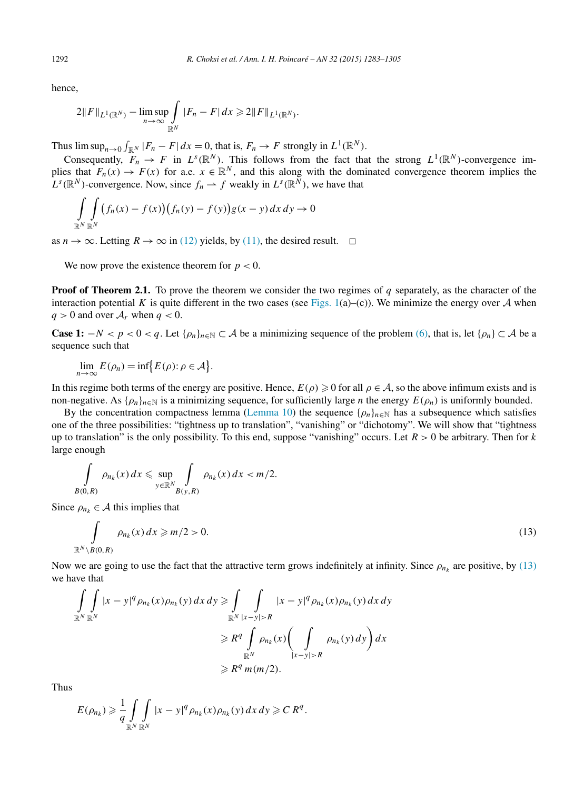hence,

$$
2\|F\|_{L^1(\mathbb{R}^N)} - \limsup_{n \to \infty} \int_{\mathbb{R}^N} |F_n - F| \, dx \geq 2\|F\|_{L^1(\mathbb{R}^N)}.
$$

Thus  $\limsup_{n\to 0} \int_{\mathbb{R}^N} |F_n - F| dx = 0$ , that is,  $F_n \to F$  strongly in  $L^1(\mathbb{R}^N)$ .

Consequently,  $F_n \to F$  in  $L^s(\mathbb{R}^N)$ . This follows from the fact that the strong  $L^1(\mathbb{R}^N)$ -convergence implies that  $F_n(x) \to F(x)$  for a.e.  $x \in \mathbb{R}^N$ , and this along with the dominated convergence theorem implies the  $L^{s}(\mathbb{R}^{N})$ -convergence. Now, since  $f_{n} \to f$  weakly in  $L^{s}(\mathbb{R}^{N})$ , we have that

$$
\int_{\mathbb{R}^N} \int_{\mathbb{R}^N} (f_n(x) - f(x)) (f_n(y) - f(y)) g(x - y) dx dy \to 0
$$

as  $n \to \infty$ . Letting  $R \to \infty$  in [\(12\)](#page-8-0) yields, by [\(11\),](#page-8-0) the desired result.  $\Box$ 

We now prove the existence theorem for  $p < 0$ .

**Proof** of **Theorem 2.1.** To prove the theorem we consider the two regimes of *q* separately, as the character of the interaction potential *K* is quite different in the two cases (see [Figs. 1\(](#page-1-0)a)–(c)). We minimize the energy over  $A$  when  $q > 0$  and over  $A_r$  when  $q < 0$ .

**Case 1:**  $-N < p < 0 < q$ . Let { $\rho_n$ } $n \in \mathbb{R}$   $\subset A$  be a minimizing sequence of the problem [\(6\),](#page-4-0) that is, let { $\rho_n$ }  $\subset A$  be a sequence such that

$$
\lim_{n\to\infty} E(\rho_n) = \inf \{ E(\rho) : \rho \in \mathcal{A} \}.
$$

In this regime both terms of the energy are positive. Hence,  $E(\rho) \ge 0$  for all  $\rho \in A$ , so the above infimum exists and is non-negative. As  $\{\rho_n\}_{n\in\mathbb{N}}$  is a minimizing sequence, for sufficiently large *n* the energy  $E(\rho_n)$  is uniformly bounded.

By the concentration compactness lemma [\(Lemma](#page-7-0) 10) the sequence { $\rho_n$ } $n \in \mathbb{N}$  has a subsequence which satisfies one of the three possibilities: "tightness up to translation", "vanishing" or "dichotomy". We will show that "tightness up to translation" is the only possibility. To this end, suppose "vanishing" occurs. Let *R >* 0 be arbitrary. Then for *k* large enough

$$
\int\limits_{B(0,R)}\rho_{n_k}(x)\,dx\leqslant \sup\limits_{y\in\mathbb{R}^N}\int\limits_{B(y,R)}\rho_{n_k}(x)\,dx\lt m/2.
$$

Since  $\rho_{n_k} \in \mathcal{A}$  this implies that

$$
\int_{\mathbb{R}^N \setminus B(0,R)} \rho_{n_k}(x) dx \ge m/2 > 0.
$$
\n(13)

Now we are going to use the fact that the attractive term grows indefinitely at infinity. Since  $\rho_{n_k}$  are positive, by (13) we have that

$$
\iint\limits_{\mathbb{R}^N} |x - y|^q \rho_{n_k}(x) \rho_{n_k}(y) dx dy \ge \int\limits_{\mathbb{R}^N} \int\limits_{|x - y| > R} |x - y|^q \rho_{n_k}(x) \rho_{n_k}(y) dx dy
$$
  
\n
$$
\ge R^q \int\limits_{\mathbb{R}^N} \rho_{n_k}(x) \left( \int\limits_{|x - y| > R} \rho_{n_k}(y) dy \right) dx
$$
  
\n
$$
\ge R^q m(m/2).
$$

Thus

$$
E(\rho_{n_k}) \geq \frac{1}{q} \int_{\mathbb{R}^N} \int_{\mathbb{R}^N} |x - y|^q \rho_{n_k}(x) \rho_{n_k}(y) dx dy \geq C R^q.
$$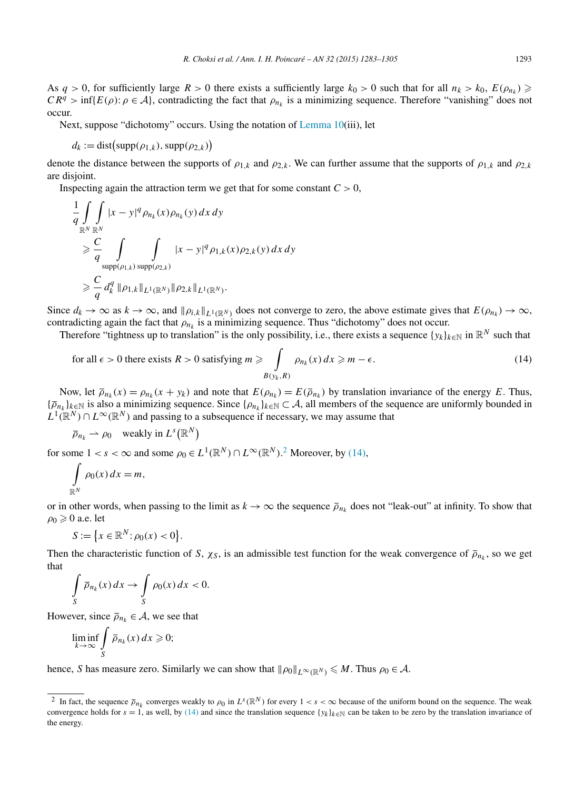<span id="page-10-0"></span>As  $q > 0$ , for sufficiently large  $R > 0$  there exists a sufficiently large  $k_0 > 0$  such that for all  $n_k > k_0$ ,  $E(\rho_{n_k}) \geq$  $CR^q > \inf\{E(\rho): \rho \in A\}$ , contradicting the fact that  $\rho_n$  is a minimizing sequence. Therefore "vanishing" does not occur.

Next, suppose "dichotomy" occurs. Using the notation of [Lemma](#page-7-0) 10(iii), let

$$
d_k := \text{dist}\big(\text{supp}(\rho_{1,k}), \text{supp}(\rho_{2,k})\big)
$$

denote the distance between the supports of  $\rho_{1,k}$  and  $\rho_{2,k}$ . We can further assume that the supports of  $\rho_{1,k}$  and  $\rho_{2,k}$ are disjoint.

Inspecting again the attraction term we get that for some constant  $C > 0$ ,

$$
\frac{1}{q} \int_{\mathbb{R}^N} \int_{\mathbb{R}^N} |x - y|^q \rho_{n_k}(x) \rho_{n_k}(y) dx dy
$$
\n
$$
\geq \frac{C}{q} \int_{\text{supp}(\rho_{1,k})} \int_{\text{supp}(\rho_{2,k})} |x - y|^q \rho_{1,k}(x) \rho_{2,k}(y) dx dy
$$
\n
$$
\geq \frac{C}{q} d_k^q ||\rho_{1,k}||_{L^1(\mathbb{R}^N)} ||\rho_{2,k}||_{L^1(\mathbb{R}^N)}.
$$

Since  $d_k \to \infty$  as  $k \to \infty$ , and  $\|\rho_{i,k}\|_{L^1(\mathbb{R}^N)}$  does not converge to zero, the above estimate gives that  $E(\rho_{n_k}) \to \infty$ , contradicting again the fact that  $\rho_{n_k}$  is a minimizing sequence. Thus "dichotomy" does not occur.

Therefore "tightness up to translation" is the only possibility, i.e., there exists a sequence  $\{y_k\}_{k\in\mathbb{N}}$  in  $\mathbb{R}^N$  such that

for all 
$$
\epsilon > 0
$$
 there exists  $R > 0$  satisfying  $m \ge \int_{B(y_k, R)} \rho_{n_k}(x) dx \ge m - \epsilon$ . (14)

Now, let  $\bar{\rho}_{n_k}(x) = \rho_{n_k}(x + y_k)$  and note that  $E(\rho_{n_k}) = E(\bar{\rho}_{n_k})$  by translation invariance of the energy *E*. Thus, {*ρnk* }*k*∈<sup>N</sup> is also a minimizing sequence. Since {*ρnk* }*k*∈<sup>N</sup> ⊂ A, all members of the sequence are uniformly bounded in  $L^1(\mathbb{R}^N) \cap L^\infty(\mathbb{R}^N)$  and passing to a subsequence if necessary, we may assume that

$$
\overline{\rho}_{n_k} \rightharpoonup \rho_0 \quad \text{weakly in } L^s(\mathbb{R}^N)
$$

for some  $1 < s < \infty$  and some  $\rho_0 \in L^1(\mathbb{R}^N) \cap L^\infty(\mathbb{R}^N)$ .<sup>2</sup> Moreover, by (14),

$$
\int_{\mathbb{R}^N} \rho_0(x) \, dx = m,
$$

or in other words, when passing to the limit as  $k \to \infty$  the sequence  $\overline{\rho}_{n_k}$  does not "leak-out" at infinity. To show that  $\rho_0 \geqslant 0$  a.e. let

$$
S := \{ x \in \mathbb{R}^N : \rho_0(x) < 0 \}.
$$

Then the characteristic function of *S*,  $\chi_S$ , is an admissible test function for the weak convergence of  $\bar{\rho}_{n_k}$ , so we get that

$$
\int\limits_{S} \overline{\rho}_{n_k}(x) dx \to \int\limits_{S} \rho_0(x) dx < 0.
$$

However, since  $\overline{\rho}_{n_k} \in A$ , we see that

$$
\liminf_{k \to \infty} \int\limits_{S} \overline{\rho}_{n_k}(x) \, dx \geqslant 0;
$$

hence, *S* has measure zero. Similarly we can show that  $\|\rho_0\|_{L^\infty(\mathbb{R}^N)} \leq M$ . Thus  $\rho_0 \in \mathcal{A}$ .

<sup>&</sup>lt;sup>2</sup> In fact, the sequence  $\bar{\rho}_{n_k}$  converges weakly to  $\rho_0$  in  $L^s(\mathbb{R}^N)$  for every  $1 < s < \infty$  because of the uniform bound on the sequence. The weak convergence holds for  $s = 1$ , as well, by (14) and since the translation sequence  $\{y_k\}_{k \in \mathbb{N}}$  can be taken to be zero by the translation invariance of the energy.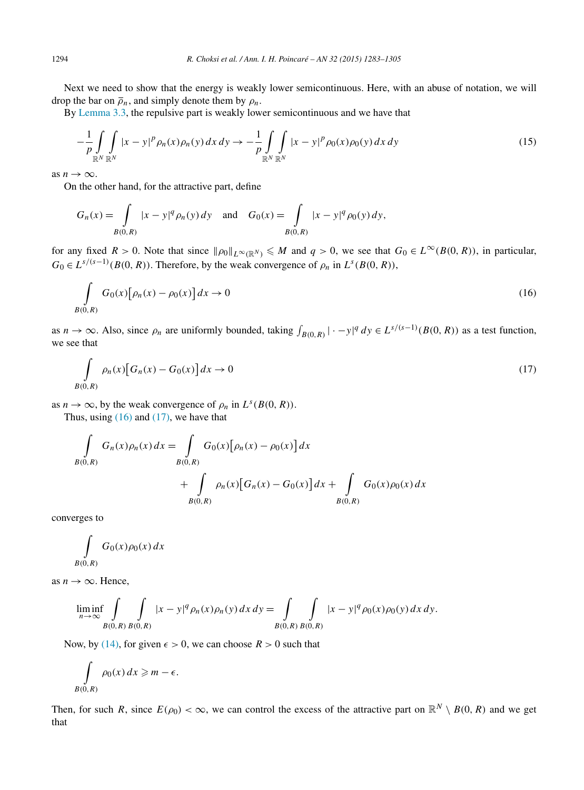<span id="page-11-0"></span>Next we need to show that the energy is weakly lower semicontinuous. Here, with an abuse of notation, we will drop the bar on  $\overline{\rho}_n$ , and simply denote them by  $\rho_n$ .

By [Lemma 3.3,](#page-7-0) the repulsive part is weakly lower semicontinuous and we have that

$$
-\frac{1}{p}\int_{\mathbb{R}^N}\int_{\mathbb{R}^N}|x-y|^p\rho_n(x)\rho_n(y)\,dx\,dy \to -\frac{1}{p}\int_{\mathbb{R}^N}\int_{\mathbb{R}^N}|x-y|^p\rho_0(x)\rho_0(y)\,dx\,dy\tag{15}
$$

as  $n \to \infty$ .

On the other hand, for the attractive part, define

$$
G_n(x) = \int_{B(0,R)} |x - y|^q \rho_n(y) \, dy \quad \text{and} \quad G_0(x) = \int_{B(0,R)} |x - y|^q \rho_0(y) \, dy,
$$

for any fixed  $R > 0$ . Note that since  $\|\rho_0\|_{L^{\infty}(\mathbb{R}^N)} \leq M$  and  $q > 0$ , we see that  $G_0 \in L^{\infty}(B(0,R))$ , in particular,  $G_0 \in L^{s/(s-1)}(B(0,R))$ . Therefore, by the weak convergence of  $\rho_n$  in  $L^s(B(0,R))$ ,

$$
\int_{B(0,R)} G_0(x) [\rho_n(x) - \rho_0(x)] dx \to 0
$$
\n(16)

as  $n \to \infty$ . Also, since  $\rho_n$  are uniformly bounded, taking  $\int_{B(0,R)} |\cdot - y|^q dy \in L^{s/(s-1)}(B(0,R))$  as a test function, we see that

$$
\int_{B(0,R)} \rho_n(x) \left[ G_n(x) - G_0(x) \right] dx \to 0 \tag{17}
$$

as  $n \to \infty$ , by the weak convergence of  $\rho_n$  in  $L^s(B(0,R))$ .

Thus, using  $(16)$  and  $(17)$ , we have that

$$
\int_{B(0,R)} G_n(x)\rho_n(x) dx = \int_{B(0,R)} G_0(x) [\rho_n(x) - \rho_0(x)] dx \n+ \int_{B(0,R)} \rho_n(x) [G_n(x) - G_0(x)] dx + \int_{B(0,R)} G_0(x)\rho_0(x) dx
$$

converges to

$$
\int\limits_{B(0,R)} G_0(x)\rho_0(x)\,dx
$$

as  $n \to \infty$ . Hence,

$$
\liminf_{n \to \infty} \int_{B(0,R)} \int_{B(0,R)} |x - y|^q \rho_n(x) \rho_n(y) dx dy = \int_{B(0,R)} \int_{B(0,R)} |x - y|^q \rho_0(x) \rho_0(y) dx dy.
$$

Now, by [\(14\),](#page-10-0) for given  $\epsilon > 0$ , we can choose  $R > 0$  such that

$$
\int\limits_{B(0,R)}\rho_0(x)\,dx\geqslant m-\epsilon.
$$

Then, for such *R*, since  $E(\rho_0) < \infty$ , we can control the excess of the attractive part on  $\mathbb{R}^N \setminus B(0, R)$  and we get that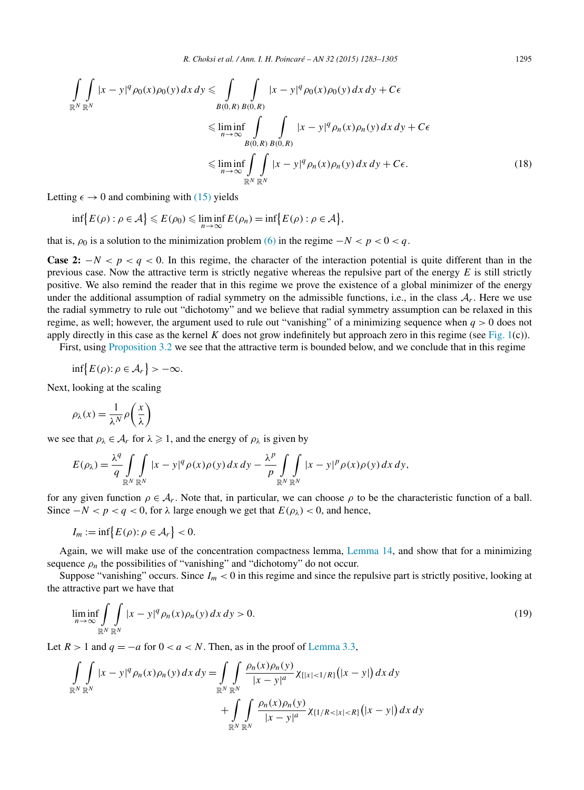<span id="page-12-0"></span>
$$
\iint_{\mathbb{R}^N} |x - y|^q \rho_0(x) \rho_0(y) dx dy \le \int_{B(0,R)} \int_{B(0,R)} |x - y|^q \rho_0(x) \rho_0(y) dx dy + C\epsilon
$$
  
\n
$$
\le \liminf_{n \to \infty} \int_{B(0,R)} \int_{B(0,R)} |x - y|^q \rho_n(x) \rho_n(y) dx dy + C\epsilon
$$
  
\n
$$
\le \liminf_{n \to \infty} \int_{\mathbb{R}^N} \int_{\mathbb{R}^N} |x - y|^q \rho_n(x) \rho_n(y) dx dy + C\epsilon.
$$
 (18)

Letting  $\epsilon \to 0$  and combining with [\(15\)](#page-11-0) yields

$$
\inf\bigl\{E(\rho): \rho\in\mathcal{A}\bigr\}\leqslant E(\rho_0)\leqslant \liminf_{n\to\infty}E(\rho_n)=\inf\bigl\{E(\rho): \rho\in\mathcal{A}\bigr\},\,
$$

that is,  $\rho_0$  is a solution to the minimization problem [\(6\)](#page-4-0) in the regime  $-N < p < 0 < q$ .

**Case 2:**  $-N < p < q < 0$ . In this regime, the character of the interaction potential is quite different than in the previous case. Now the attractive term is strictly negative whereas the repulsive part of the energy  $E$  is still strictly positive. We also remind the reader that in this regime we prove the existence of a global minimizer of the energy under the additional assumption of radial symmetry on the admissible functions, i.e., in the class  $A_r$ . Here we use the radial symmetry to rule out "dichotomy" and we believe that radial symmetry assumption can be relaxed in this regime, as well; however, the argument used to rule out "vanishing" of a minimizing sequence when *q >* 0 does not apply directly in this case as the kernel *K* does not grow indefinitely but approach zero in this regime (see [Fig. 1\(](#page-1-0)c)).

First, using [Proposition](#page-7-0) 3.2 we see that the attractive term is bounded below, and we conclude that in this regime

 $\inf\{E(\rho): \rho \in \mathcal{A}_r\} > -\infty.$ 

Next, looking at the scaling

$$
\rho_{\lambda}(x) = \frac{1}{\lambda^N} \rho\left(\frac{x}{\lambda}\right)
$$

we see that  $\rho_{\lambda} \in A_r$  for  $\lambda \geq 1$ , and the energy of  $\rho_{\lambda}$  is given by

$$
E(\rho_{\lambda}) = \frac{\lambda^{q}}{q} \int\limits_{\mathbb{R}^{N}} \int\limits_{\mathbb{R}^{N}} |x - y|^{q} \rho(x) \rho(y) dx dy - \frac{\lambda^{p}}{p} \int\limits_{\mathbb{R}^{N}} \int\limits_{\mathbb{R}^{N}} |x - y|^{p} \rho(x) \rho(y) dx dy,
$$

for any given function  $\rho \in A_r$ . Note that, in particular, we can choose  $\rho$  to be the characteristic function of a ball. Since  $−N < p < q < 0$ , for  $\lambda$  large enough we get that  $E(\rho_{\lambda}) < 0$ , and hence,

$$
I_m := \inf \bigl\{ E(\rho) : \rho \in \mathcal{A}_r \bigr\} < 0.
$$

Again, we will make use of the concentration compactness lemma, [Lemma 14,](#page-10-0) and show that for a minimizing sequence  $\rho_n$  the possibilities of "vanishing" and "dichotomy" do not occur.

Suppose "vanishing" occurs. Since  $I_m < 0$  in this regime and since the repulsive part is strictly positive, looking at the attractive part we have that

$$
\liminf_{n \to \infty} \int_{\mathbb{R}^N} \int_{\mathbb{R}^N} |x - y|^q \rho_n(x) \rho_n(y) dx dy > 0.
$$
\n(19)

Let  $R > 1$  and  $q = -a$  for  $0 < a < N$ . Then, as in the proof of [Lemma 3.3,](#page-7-0)

$$
\int_{\mathbb{R}^N} \int_{\mathbb{R}^N} |x - y|^q \rho_n(x) \rho_n(y) dx dy = \int_{\mathbb{R}^N} \int_{\mathbb{R}^N} \frac{\rho_n(x) \rho_n(y)}{|x - y|^a} \chi_{\{|x| < 1/R\}}(|x - y|) dx dy
$$
\n
$$
+ \int_{\mathbb{R}^N} \int_{\mathbb{R}^N} \frac{\rho_n(x) \rho_n(y)}{|x - y|^a} \chi_{\{1/R < |x| < R\}}(|x - y|) dx dy
$$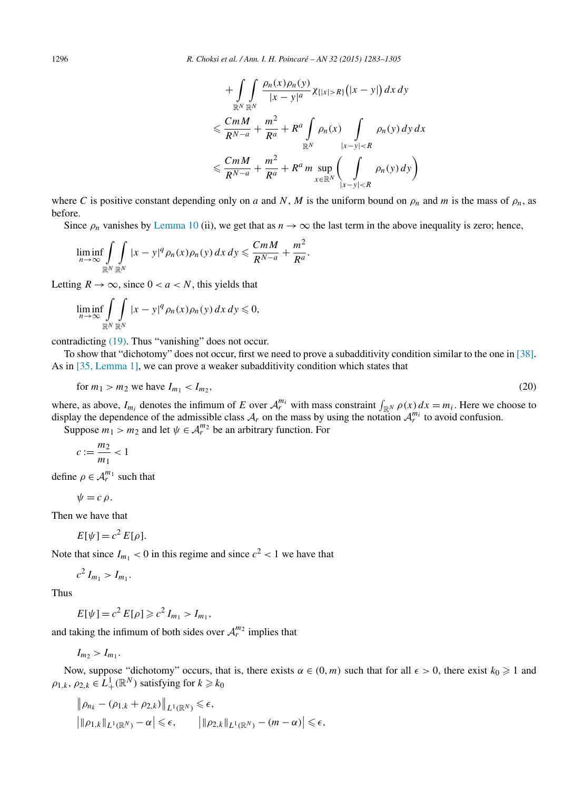$$
+\int_{\mathbb{R}^N} \int_{\mathbb{R}^N} \frac{\rho_n(x)\rho_n(y)}{|x-y|^a} \chi_{\{|x|>R\}}(|x-y|) dx dy
$$
  

$$
\leq \frac{CmM}{R^{N-a}} + \frac{m^2}{R^a} + R^a \int_{\mathbb{R}^N} \rho_n(x) \int_{|x-y|  

$$
\leq \frac{CmM}{R^{N-a}} + \frac{m^2}{R^a} + R^a m \sup_{x \in \mathbb{R}^N} \left( \int_{|x-y|
$$
$$

<span id="page-13-0"></span>where *C* is positive constant depending only on *a* and *N*, *M* is the uniform bound on  $\rho_n$  and *m* is the mass of  $\rho_n$ , as before.

Since  $\rho_n$  vanishes by [Lemma 10](#page-7-0) (ii), we get that as  $n \to \infty$  the last term in the above inequality is zero; hence,

$$
\liminf_{n\to\infty}\int_{\mathbb{R}^N}\int_{\mathbb{R}^N}|x-y|^q\rho_n(x)\rho_n(y)\,dx\,dy\leqslant\frac{CmM}{R^{N-a}}+\frac{m^2}{R^a}.
$$

Letting  $R \to \infty$ , since  $0 < a < N$ , this yields that

$$
\liminf_{n\to\infty}\int_{\mathbb{R}^N}\int_{\mathbb{R}^N}|x-y|^q\,\rho_n(x)\rho_n(y)\,dx\,dy\leqslant 0,
$$

contradicting [\(19\).](#page-12-0) Thus "vanishing" does not occur.

To show that "dichotomy" does not occur, first we need to prove a subadditivity condition similar to the one in [\[38\].](#page-21-0) As in [35, [Lemma](#page-21-0) 1], we can prove a weaker subadditivity condition which states that

$$
\text{for } m_1 > m_2 \text{ we have } I_{m_1} < I_{m_2},\tag{20}
$$

where, as above,  $I_{m_i}$  denotes the infimum of *E* over  $A_r^{m_i}$  with mass constraint  $\int_{\mathbb{R}^N} \rho(x) dx = m_i$ . Here we choose to display the dependence of the admissible class  $A_r$  on the mass by using the notation  $A_r^{m_i}$  to avoid confusion.

Suppose  $m_1 > m_2$  and let  $\psi \in A_r^{m_2}$  be an arbitrary function. For

$$
c:=\frac{m_2}{m_1}<1
$$

define  $\rho \in \mathcal{A}_r^{m_1}$  such that

$$
\psi=c \,\rho.
$$

Then we have that

$$
E[\psi] = c^2 E[\rho].
$$

Note that since  $I_{m_1} < 0$  in this regime and since  $c^2 < 1$  we have that

$$
c^2 I_{m_1} > I_{m_1}.
$$

Thus

$$
E[\psi] = c^2 E[\rho] \geq c^2 I_{m_1} > I_{m_1},
$$

and taking the infimum of both sides over  $A_r^{m_2}$  implies that

 $I_{m_2} > I_{m_1}$ .

Now, suppose "dichotomy" occurs, that is, there exists  $\alpha \in (0, m)$  such that for all  $\epsilon > 0$ , there exist  $k_0 \ge 1$  and  $\rho_{1,k}, \rho_{2,k} \in L^1_+(\mathbb{R}^N)$  satisfying for  $k \geq k_0$ 

$$
\|\rho_{n_k} - (\rho_{1,k} + \rho_{2,k})\|_{L^1(\mathbb{R}^N)} \leq \epsilon,
$$
  

$$
|\|\rho_{1,k}\|_{L^1(\mathbb{R}^N)} - \alpha| \leq \epsilon, \qquad |\|\rho_{2,k}\|_{L^1(\mathbb{R}^N)} - (m - \alpha)| \leq \epsilon,
$$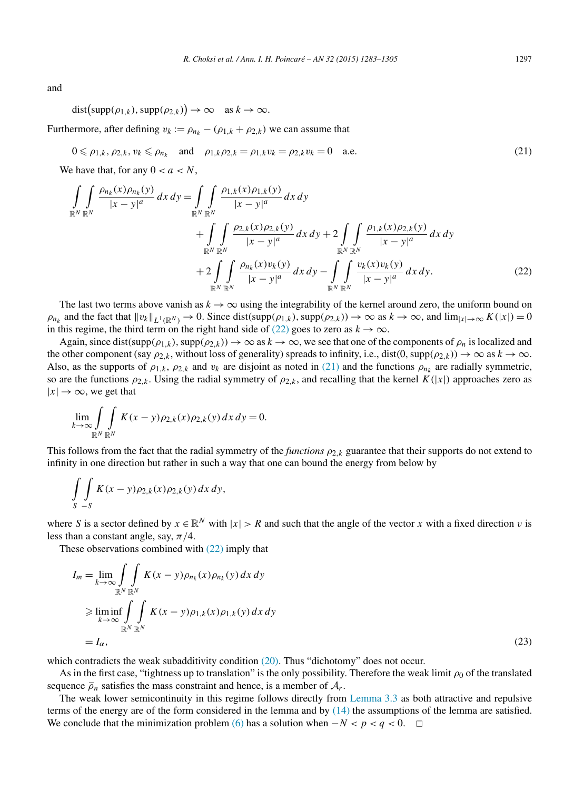and

$$
dist(supp(\rho_{1,k}), supp(\rho_{2,k})) \to \infty \text{ as } k \to \infty.
$$

Furthermore, after defining  $v_k := \rho_{n_k} - (\rho_{1,k} + \rho_{2,k})$  we can assume that

$$
0 \leq \rho_{1,k}, \rho_{2,k}, v_k \leq \rho_{n_k} \quad \text{and} \quad \rho_{1,k}\rho_{2,k} = \rho_{1,k}v_k = \rho_{2,k}v_k = 0 \quad \text{a.e.} \tag{21}
$$

We have that, for any  $0 < a < N$ ,

$$
\int_{\mathbb{R}^N} \int_{\mathbb{R}^N} \frac{\rho_{n_k}(x) \rho_{n_k}(y)}{|x - y|^a} dx dy = \int_{\mathbb{R}^N} \int_{\mathbb{R}^N} \frac{\rho_{1,k}(x) \rho_{1,k}(y)}{|x - y|^a} dx dy \n+ \int_{\mathbb{R}^N} \int_{\mathbb{R}^N} \frac{\rho_{2,k}(x) \rho_{2,k}(y)}{|x - y|^a} dx dy + 2 \int_{\mathbb{R}^N} \int_{\mathbb{R}^N} \frac{\rho_{1,k}(x) \rho_{2,k}(y)}{|x - y|^a} dx dy \n+ 2 \int_{\mathbb{R}^N} \int_{\mathbb{R}^N} \frac{\rho_{n_k}(x) v_k(y)}{|x - y|^a} dx dy - \int_{\mathbb{R}^N} \int_{\mathbb{R}^N} \frac{v_k(x) v_k(y)}{|x - y|^a} dx dy.
$$
\n(22)

The last two terms above vanish as  $k \to \infty$  using the integrability of the kernel around zero, the uniform bound on  $\rho_{n_k}$  and the fact that  $\|v_k\|_{L^1(\mathbb{R}^N)} \to 0$ . Since dist $(\text{supp}(\rho_{1,k}), \text{supp}(\rho_{2,k})) \to \infty$  as  $k \to \infty$ , and  $\lim_{|x| \to \infty} K(|x|) = 0$ in this regime, the third term on the right hand side of (22) goes to zero as  $k \to \infty$ .

Again, since dist $(\text{supp}(\rho_{1,k}), \text{supp}(\rho_{2,k})) \to \infty$  as  $k \to \infty$ , we see that one of the components of  $\rho_n$  is localized and the other component (say  $\rho_{2,k}$ , without loss of generality) spreads to infinity, i.e., dist(0, supp $(\rho_{2,k}) \to \infty$  as  $k \to \infty$ . Also, as the supports of  $\rho_{1,k}$ ,  $\rho_{2,k}$  and  $v_k$  are disjoint as noted in (21) and the functions  $\rho_{n_k}$  are radially symmetric, so are the functions  $\rho_{2,k}$ . Using the radial symmetry of  $\rho_{2,k}$ , and recalling that the kernel  $K(|x|)$  approaches zero as  $|x| \to \infty$ , we get that

$$
\lim_{k \to \infty} \int\limits_{\mathbb{R}^N} \int\limits_{\mathbb{R}^N} K(x - y) \rho_{2,k}(x) \rho_{2,k}(y) dx dy = 0.
$$

This follows from the fact that the radial symmetry of the *functions*  $\rho_{2,k}$  guarantee that their supports do not extend to infinity in one direction but rather in such a way that one can bound the energy from below by

$$
\int\limits_{S} \int\limits_{-S} K(x-y) \rho_{2,k}(x) \rho_{2,k}(y) dx dy,
$$

where *S* is a sector defined by  $x \in \mathbb{R}^N$  with  $|x| > R$  and such that the angle of the vector *x* with a fixed direction *v* is less than a constant angle, say, *π/*4.

These observations combined with (22) imply that

$$
I_m = \lim_{k \to \infty} \int_{\mathbb{R}^N} \int_{\mathbb{R}^N} K(x - y) \rho_{n_k}(x) \rho_{n_k}(y) dx dy
$$
  
\n
$$
\geq \liminf_{k \to \infty} \int_{\mathbb{R}^N} \int_{\mathbb{R}^N} K(x - y) \rho_{1,k}(x) \rho_{1,k}(y) dx dy
$$
  
\n
$$
= I_\alpha,
$$
\n(23)

which contradicts the weak subadditivity condition [\(20\).](#page-13-0) Thus "dichotomy" does not occur.

As in the first case, "tightness up to translation" is the only possibility. Therefore the weak limit *ρ*<sub>0</sub> of the translated sequence  $\overline{\rho}_n$  satisfies the mass constraint and hence, is a member of  $A_r$ .

The weak lower semicontinuity in this regime follows directly from [Lemma 3.3](#page-7-0) as both attractive and repulsive terms of the energy are of the form considered in the lemma and by [\(14\)](#page-10-0) the assumptions of the lemma are satisfied. We conclude that the minimization problem [\(6\)](#page-4-0) has a solution when  $-N < p < q < 0$ . □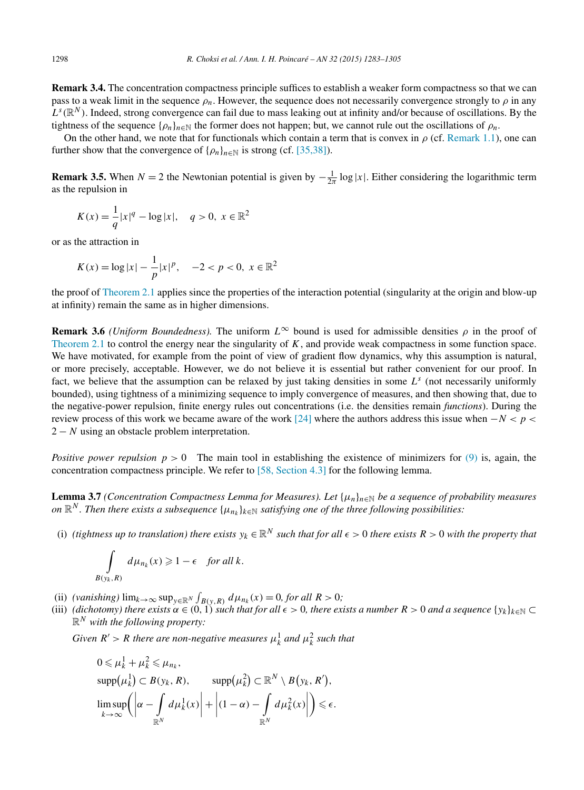<span id="page-15-0"></span>**Remark 3.4.** The concentration compactness principle suffices to establish a weaker form compactness so that we can pass to a weak limit in the sequence  $\rho_n$ . However, the sequence does not necessarily convergence strongly to  $\rho$  in any  $L^s(\mathbb{R}^N)$ . Indeed, strong convergence can fail due to mass leaking out at infinity and/or because of oscillations. By the tightness of the sequence  $\{\rho_n\}_{n\in\mathbb{N}}$  the former does not happen; but, we cannot rule out the oscillations of  $\rho_n$ .

On the other hand, we note that for functionals which contain a term that is convex in  $\rho$  (cf. [Remark 1.1\)](#page-3-0), one can further show that the convergence of  $\{\rho_n\}_{n\in\mathbb{N}}$  is strong (cf. [\[35,38\]\)](#page-21-0).

**Remark 3.5.** When  $N = 2$  the Newtonian potential is given by  $-\frac{1}{2\pi} \log |x|$ . Either considering the logarithmic term as the repulsion in

$$
K(x) = \frac{1}{q}|x|^q - \log|x|, \quad q > 0, \ x \in \mathbb{R}^2
$$

or as the attraction in

*B(yk ,R)*

$$
K(x) = \log |x| - \frac{1}{p}|x|^p, \quad -2 < p < 0, \ x \in \mathbb{R}^2
$$

the proof of [Theorem 2.1](#page-5-0) applies since the properties of the interaction potential (singularity at the origin and blow-up at infinity) remain the same as in higher dimensions.

**Remark 3.6** *(Uniform Boundedness)*. The uniform  $L^{\infty}$  bound is used for admissible densities  $\rho$  in the proof of [Theorem 2.1](#page-5-0) to control the energy near the singularity of *K*, and provide weak compactness in some function space. We have motivated, for example from the point of view of gradient flow dynamics, why this assumption is natural, or more precisely, acceptable. However, we do not believe it is essential but rather convenient for our proof. In fact, we believe that the assumption can be relaxed by just taking densities in some  $L^s$  (not necessarily uniformly bounded), using tightness of a minimizing sequence to imply convergence of measures, and then showing that, due to the negative-power repulsion, finite energy rules out concentrations (i.e. the densities remain *functions*). During the review process of this work we became aware of the work [\[24\]](#page-21-0) where the authors address this issue when −*N < p <* 2 − *N* using an obstacle problem interpretation.

*Positive power repulsion*  $p > 0$  The main tool in establishing the existence of minimizers for [\(9\)](#page-5-0) is, again, the concentration compactness principle. We refer to [58, [Section](#page-22-0) 4.3] for the following lemma.

**Lemma 3.7** *(Concentration Compactness Lemma for Measures). Let*  $\{\mu_n\}_{n\in\mathbb{N}}$  *be a sequence of probability measures on*  $\mathbb{R}^N$ . Then there exists a subsequence  $\{\mu_{n_k}\}_{k \in \mathbb{N}}$  satisfying one of the three following possibilities:

(i) (tightness up to translation) there exists  $y_k \in \mathbb{R}^N$  such that for all  $\epsilon > 0$  there exists  $R > 0$  with the property that

$$
\int_{(y_k,R)} d\mu_{n_k}(x) \geq 1 - \epsilon \quad \text{for all } k.
$$

- (ii)  $(\text{vanishing}) \lim_{k \to \infty} \sup_{y \in \mathbb{R}^N} \int_{B(y,R)} d\mu_{n_k}(x) = 0, \text{ for all } R > 0;$
- (iii) (dichotomy) there exists  $\alpha \in (0,1)$  such that for all  $\epsilon > 0$ , there exists a number  $R > 0$  and a sequence  $\{y_k\}_{k \in \mathbb{N}} \subset$ R*<sup>N</sup> with the following property:*

*Given*  $R' > R$  *there are non-negative measures*  $\mu_k^1$  *and*  $\mu_k^2$  *such that* 

$$
0 \leq \mu_k^1 + \mu_k^2 \leq \mu_{n_k},
$$
  
\n
$$
\text{supp}(\mu_k^1) \subset B(y_k, R), \qquad \text{supp}(\mu_k^2) \subset \mathbb{R}^N \setminus B(y_k, R'),
$$
  
\n
$$
\limsup_{k \to \infty} \left( \left| \alpha - \int_{\mathbb{R}^N} d\mu_k^1(x) \right| + \left| (1 - \alpha) - \int_{\mathbb{R}^N} d\mu_k^2(x) \right| \right) \leq \epsilon.
$$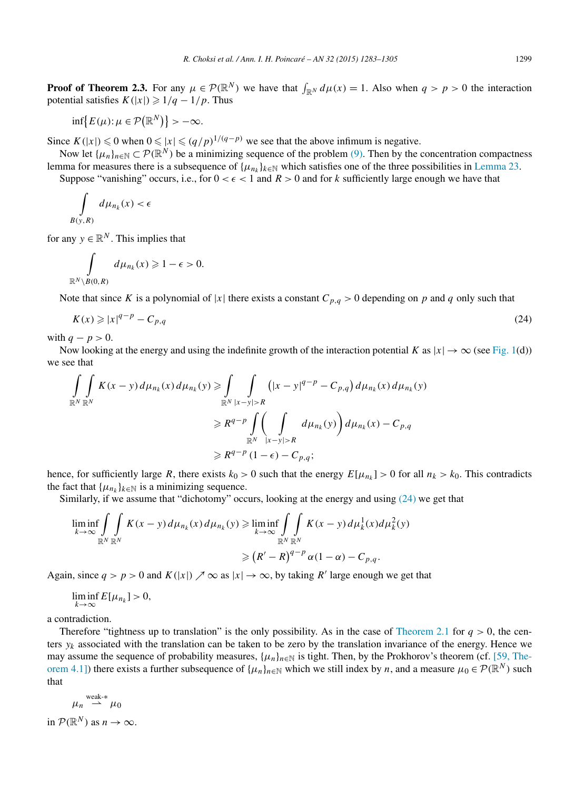**Proof** of **Theorem 2.3.** For any  $\mu \in \mathcal{P}(\mathbb{R}^N)$  we have that  $\int_{\mathbb{R}^N} d\mu(x) = 1$ . Also when  $q > p > 0$  the interaction potential satisfies  $K(|x|) \geq 1/q - 1/p$ . Thus

$$
\inf\bigl\{E(\mu): \mu \in \mathcal{P}(\mathbb{R}^N)\bigr\} > -\infty.
$$

Since  $K(|x|)$  ≤ 0 when  $0 \le |x| \le (q/p)^{1/(q-p)}$  we see that the above infimum is negative.

Now let  $\{\mu_n\}_{n\in\mathbb{N}} \subset \mathcal{P}(\mathbb{R}^N)$  be a minimizing sequence of the problem [\(9\).](#page-5-0) Then by the concentration compactness lemma for measures there is a subsequence of  $\{\mu_n\}_{k\in\mathbb{N}}$  which satisfies one of the three possibilities in [Lemma 23.](#page-15-0) Suppose "vanishing" occurs, i.e., for  $0 < \epsilon < 1$  and  $R > 0$  and for k sufficiently large enough we have that

$$
\int\limits_{B(y,R)} d\mu_{n_k}(x) < \epsilon
$$

for any  $y \in \mathbb{R}^N$ . This implies that

$$
\int_{\mathbb{R}^N\setminus B(0,R)}d\mu_{n_k}(x)\geq 1-\epsilon>0.
$$

Note that since *K* is a polynomial of |*x*| there exists a constant  $C_{p,q} > 0$  depending on *p* and *q* only such that

$$
K(x) \geqslant |x|^{q-p} - C_{p,q} \tag{24}
$$

with  $q - p > 0$ .

Now looking at the energy and using the indefinite growth of the interaction potential *K* as  $|x| \to \infty$  (see [Fig. 1\(](#page-1-0)d)) we see that

$$
\iint\limits_{\mathbb{R}^N} K(x - y) d\mu_{n_k}(x) d\mu_{n_k}(y) \ge \int\limits_{\mathbb{R}^N} \int\limits_{|x - y| > R} (|x - y|^{q - p} - C_{p,q}) d\mu_{n_k}(x) d\mu_{n_k}(y)
$$
\n
$$
\ge R^{q - p} \int\limits_{\mathbb{R}^N} \left( \int\limits_{|x - y| > R} d\mu_{n_k}(y) \right) d\mu_{n_k}(x) - C_{p,q}
$$
\n
$$
\ge R^{q - p} \left( 1 - \epsilon \right) - C_{p,q};
$$

hence, for sufficiently large *R*, there exists  $k_0 > 0$  such that the energy  $E[\mu_{n_k}] > 0$  for all  $n_k > k_0$ . This contradicts the fact that  $\{\mu_{n_k}\}_{k \in \mathbb{N}}$  is a minimizing sequence.

Similarly, if we assume that "dichotomy" occurs, looking at the energy and using (24) we get that

$$
\liminf_{k \to \infty} \int\limits_{\mathbb{R}^N} \int\limits_{\mathbb{R}^N} K(x - y) d\mu_{n_k}(x) d\mu_{n_k}(y) \ge \liminf_{k \to \infty} \int\limits_{\mathbb{R}^N} \int\limits_{\mathbb{R}^N} K(x - y) d\mu_k^1(x) d\mu_k^2(y)
$$
\n
$$
\ge (R' - R)^{q - p} \alpha (1 - \alpha) - C_{p,q}.
$$

Again, since  $q > p > 0$  and  $K(|x|) \nearrow \infty$  as  $|x| \to \infty$ , by taking R' large enough we get that

$$
\liminf_{k\to\infty} E[\mu_{n_k}]>0,
$$

a contradiction.

Therefore "tightness up to translation" is the only possibility. As in the case of [Theorem 2.1](#page-5-0) for  $q > 0$ , the centers  $y_k$  associated with the translation can be taken to be zero by the translation invariance of the energy. Hence we may assume the sequence of probability measures,  $\{\mu_n\}_{n\in\mathbb{N}}$  is tight. Then, by the Prokhorov's theorem (cf. [59, [The](#page-22-0)[orem 4.1\]\)](#page-22-0) there exists a further subsequence of  $\{\mu_n\}_{n\in\mathbb{N}}$  which we still index by *n*, and a measure  $\mu_0 \in \mathcal{P}(\mathbb{R}^N)$  such that

$$
\mu_n \stackrel{\text{weak-*}}{\rightharpoonup} \mu_0
$$
  
in  $\mathcal{P}(\mathbb{R}^N)$  as  $n \to \infty$ .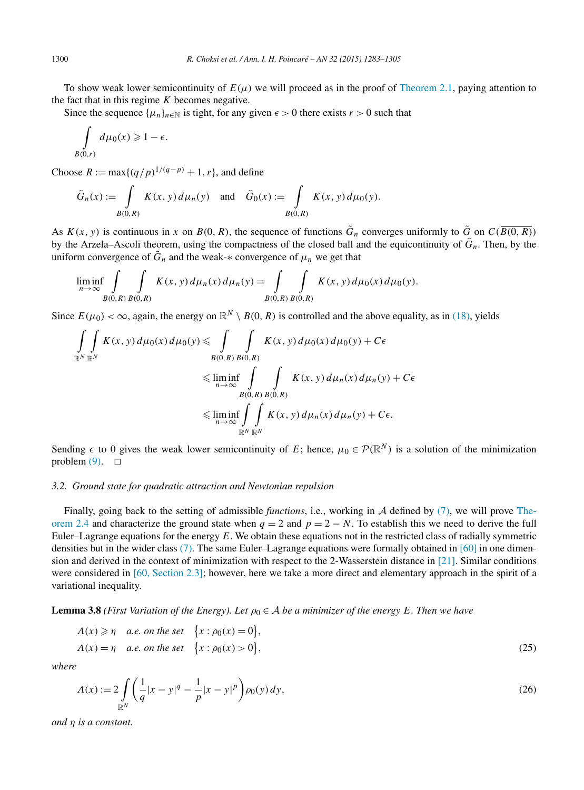<span id="page-17-0"></span>To show weak lower semicontinuity of  $E(\mu)$  we will proceed as in the proof of [Theorem 2.1,](#page-5-0) paying attention to the fact that in this regime *K* becomes negative.

Since the sequence  $\{\mu_n\}_{n \in \mathbb{N}}$  is tight, for any given  $\epsilon > 0$  there exists  $r > 0$  such that

$$
\int\limits_{B(0,r)} d\mu_0(x) \geq 1 - \epsilon.
$$

Choose  $R := \max\{(q/p)^{1/(q-p)} + 1, r\}$ , and define

$$
\tilde{G}_n(x) := \int\limits_{B(0,R)} K(x,y) d\mu_n(y) \quad \text{and} \quad \tilde{G}_0(x) := \int\limits_{B(0,R)} K(x,y) d\mu_0(y).
$$

As  $K(x, y)$  is continuous in *x* on  $B(0, R)$ , the sequence of functions  $\tilde{G}_n$  converges uniformly to  $\tilde{G}$  on  $C(\overline{B(0, R)})$ by the Arzela–Ascoli theorem, using the compactness of the closed ball and the equicontinuity of  $\tilde{G}_n$ . Then, by the uniform convergence of  $\tilde{G}_n$  and the weak- $*$  convergence of  $\mu_n$  we get that

$$
\liminf_{n \to \infty} \int\limits_{B(0,R)} \int\limits_{B(0,R)} K(x,y) \, d\mu_n(x) \, d\mu_n(y) = \int\limits_{B(0,R)} \int\limits_{B(0,R)} K(x,y) \, d\mu_0(x) \, d\mu_0(y).
$$

Since  $E(\mu_0) < \infty$ , again, the energy on  $\mathbb{R}^N \setminus B(0, R)$  is controlled and the above equality, as in [\(18\),](#page-12-0) yields

$$
\iint_{\mathbb{R}^N} K(x, y) d\mu_0(x) d\mu_0(y) \le \iint_{B(0, R)} K(x, y) d\mu_0(x) d\mu_0(y) + C\epsilon
$$
  
\n
$$
\le \liminf_{n \to \infty} \int_{B(0, R)} \int_{B(0, R)} K(x, y) d\mu_n(x) d\mu_n(y) + C\epsilon
$$
  
\n
$$
\le \liminf_{n \to \infty} \int_{\mathbb{R}^N} \int_{\mathbb{R}^N} K(x, y) d\mu_n(x) d\mu_n(y) + C\epsilon.
$$

Sending  $\epsilon$  to 0 gives the weak lower semicontinuity of *E*; hence,  $\mu_0 \in \mathcal{P}(\mathbb{R}^N)$  is a solution of the minimization problem  $(9)$ .  $\Box$ 

## *3.2. Ground state for quadratic attraction and Newtonian repulsion*

Finally, going back to the setting of admissible *functions*, i.e., working in A defined by [\(7\),](#page-4-0) we will prove [The](#page-6-0)[orem 2.4](#page-6-0) and characterize the ground state when  $q = 2$  and  $p = 2 - N$ . To establish this we need to derive the full Euler–Lagrange equations for the energy *E*. We obtain these equations not in the restricted class of radially symmetric densities but in the wider class [\(7\).](#page-4-0) The same Euler–Lagrange equations were formally obtained in [\[60\]](#page-22-0) in one dimension and derived in the context of minimization with respect to the 2-Wasserstein distance in [\[21\].](#page-21-0) Similar conditions were considered in [60, [Section](#page-22-0) 2.3]; however, here we take a more direct and elementary approach in the spirit of a variational inequality.

**Lemma 3.8** (First Variation of the Energy). Let  $\rho_0 \in A$  be a minimizer of the energy E. Then we have

$$
\Lambda(x) \geqslant \eta \quad a.e. \text{ on the set } \{x : \rho_0(x) = 0\},\newline \Lambda(x) = \eta \quad a.e. \text{ on the set } \{x : \rho_0(x) > 0\},\newline
$$
\n
$$
(25)
$$

*where*

$$
\Lambda(x) := 2 \int_{\mathbb{R}^N} \left( \frac{1}{q} |x - y|^q - \frac{1}{p} |x - y|^p \right) \rho_0(y) \, dy,\tag{26}
$$

*and η is a constant.*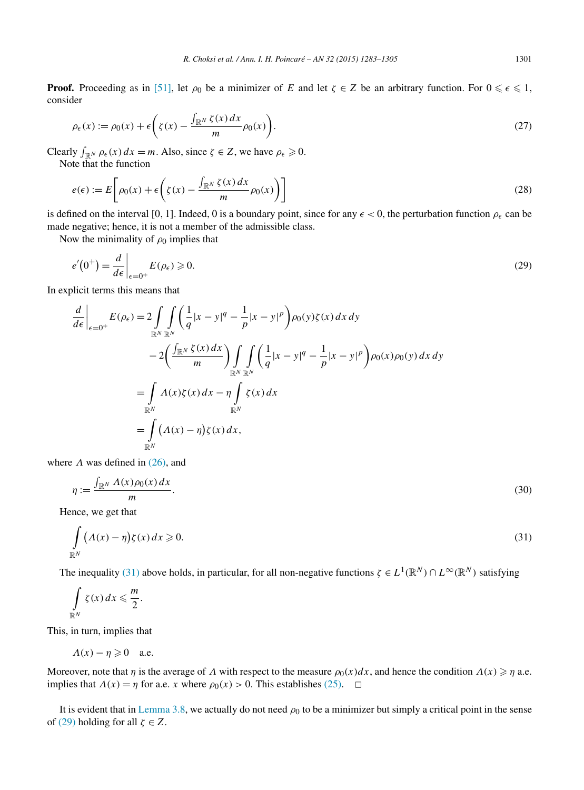<span id="page-18-0"></span>**Proof.** Proceeding as in [\[51\],](#page-21-0) let  $\rho_0$  be a minimizer of *E* and let  $\zeta \in Z$  be an arbitrary function. For  $0 \leq \epsilon \leq 1$ , consider

$$
\rho_{\epsilon}(x) := \rho_0(x) + \epsilon \left( \zeta(x) - \frac{\int_{\mathbb{R}^N} \zeta(x) dx}{m} \rho_0(x) \right). \tag{27}
$$

Clearly  $\int_{\mathbb{R}^N} \rho_{\epsilon}(x) dx = m$ . Also, since  $\zeta \in Z$ , we have  $\rho_{\epsilon} \ge 0$ .

Note that the function

$$
e(\epsilon) := E\left[\rho_0(x) + \epsilon \left(\zeta(x) - \frac{\int_{\mathbb{R}^N} \zeta(x) dx}{m} \rho_0(x)\right)\right]
$$
(28)

is defined on the interval [0, 1]. Indeed, 0 is a boundary point, since for any  $\epsilon < 0$ , the perturbation function  $\rho_{\epsilon}$  can be made negative; hence, it is not a member of the admissible class.

Now the minimality of  $\rho_0$  implies that

$$
e'(0^+) = \frac{d}{d\epsilon}\bigg|_{\epsilon=0^+} E(\rho_\epsilon) \geqslant 0. \tag{29}
$$

In explicit terms this means that

$$
\frac{d}{d\epsilon}\Big|_{\epsilon=0^{+}} E(\rho_{\epsilon}) = 2 \int\limits_{\mathbb{R}^{N}} \int\limits_{\mathbb{R}^{N}} \left(\frac{1}{q}|x-y|^{q} - \frac{1}{p}|x-y|^{p}\right) \rho_{0}(y)\zeta(x) dx dy
$$
\n
$$
- 2\left(\frac{\int_{\mathbb{R}^{N}} \zeta(x) dx}{m}\right) \int\limits_{\mathbb{R}^{N}} \int\limits_{\mathbb{R}^{N}} \left(\frac{1}{q}|x-y|^{q} - \frac{1}{p}|x-y|^{p}\right) \rho_{0}(x) \rho_{0}(y) dx dy
$$
\n
$$
= \int\limits_{\mathbb{R}^{N}} \Lambda(x)\zeta(x) dx - \eta \int\limits_{\mathbb{R}^{N}} \zeta(x) dx
$$
\n
$$
= \int\limits_{\mathbb{R}^{N}} (\Lambda(x) - \eta)\zeta(x) dx,
$$

where  $\Lambda$  was defined in [\(26\),](#page-17-0) and

$$
\eta := \frac{\int_{\mathbb{R}^N} A(x)\rho_0(x) \, dx}{m}.\tag{30}
$$

Hence, we get that

$$
\int_{\mathbb{R}^N} \left( \Lambda(x) - \eta \right) \zeta(x) \, dx \geqslant 0. \tag{31}
$$

The inequality (31) above holds, in particular, for all non-negative functions  $\zeta \in L^1(\mathbb{R}^N) \cap L^\infty(\mathbb{R}^N)$  satisfying

$$
\int\limits_{\mathbb{R}^N}\zeta(x)\,dx\leqslant\frac{m}{2}.
$$

This, in turn, implies that

$$
\Lambda(x) - \eta \geq 0 \quad \text{a.e.}
$$

Moreover, note that *η* is the average of *Λ* with respect to the measure  $\rho_0(x)dx$ , and hence the condition  $\Lambda(x) \geq \eta$  a.e. implies that  $\Lambda(x) = \eta$  for a.e. *x* where  $\rho_0(x) > 0$ . This establishes [\(25\).](#page-17-0)  $\Box$ 

It is evident that in [Lemma 3.8,](#page-17-0) we actually do not need  $\rho_0$  to be a minimizer but simply a critical point in the sense of (29) holding for all  $\zeta \in Z$ .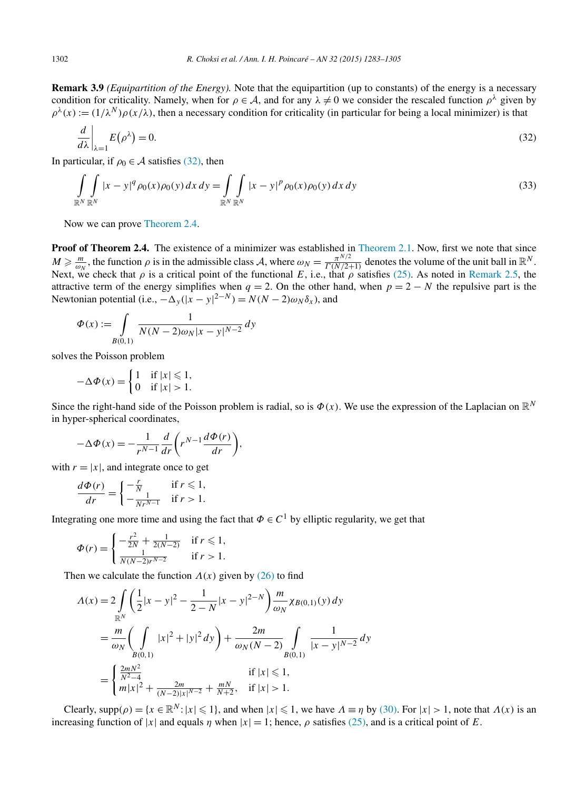<span id="page-19-0"></span>**Remark 3.9** *(Equipartition of the Energy).* Note that the equipartition (up to constants) of the energy is a necessary condition for criticality. Namely, when for  $\rho \in A$ , and for any  $\lambda \neq 0$  we consider the rescaled function  $\rho^{\lambda}$  given by  $\rho^{\lambda}(x) := (1/\lambda^N) \rho(x/\lambda)$ , then a necessary condition for criticality (in particular for being a local minimizer) is that

$$
\left. \frac{d}{d\lambda} \right|_{\lambda=1} E(\rho^{\lambda}) = 0. \tag{32}
$$

In particular, if  $\rho_0 \in A$  satisfies (32), then

$$
\int_{\mathbb{R}^N} \int_{\mathbb{R}^N} |x - y|^q \rho_0(x) \rho_0(y) dx dy = \int_{\mathbb{R}^N} \int_{\mathbb{R}^N} |x - y|^p \rho_0(x) \rho_0(y) dx dy
$$
\n(33)

Now we can prove [Theorem 2.4.](#page-6-0)

**Proof of Theorem 2.4.** The existence of a minimizer was established in [Theorem 2.1.](#page-5-0) Now, first we note that since  $M \ge \frac{m}{\omega_N}$ , the function  $\rho$  is in the admissible class A, where  $\omega_N = \frac{\pi^{N/2}}{\Gamma(N/2+1)}$  denotes the volume of the unit ball in  $\mathbb{R}^N$ . Next, we check that  $\rho$  is a critical point of the functional *E*, i.e., that  $\rho$  satisfies [\(25\).](#page-17-0) As noted in [Remark 2.5,](#page-6-0) the attractive term of the energy simplifies when  $q = 2$ . On the other hand, when  $p = 2 - N$  the repulsive part is the Newtonian potential (i.e.,  $-\Delta_y(|x-y|^{2-N}) = N(N-2)\omega_N \delta_x$ ), and

$$
\Phi(x) := \int_{B(0,1)} \frac{1}{N(N-2)\omega_N |x - y|^{N-2}} dy
$$

solves the Poisson problem

$$
-\Delta \Phi(x) = \begin{cases} 1 & \text{if } |x| \leq 1, \\ 0 & \text{if } |x| > 1. \end{cases}
$$

Since the right-hand side of the Poisson problem is radial, so is  $\Phi(x)$ . We use the expression of the Laplacian on  $\mathbb{R}^N$ in hyper-spherical coordinates,

$$
-\Delta \Phi(x) = -\frac{1}{r^{N-1}} \frac{d}{dr} \left( r^{N-1} \frac{d\Phi(r)}{dr} \right),
$$

with  $r = |x|$ , and integrate once to get

$$
\frac{d\Phi(r)}{dr} = \begin{cases} -\frac{r}{N} & \text{if } r \leq 1, \\ -\frac{1}{Nr^{N-1}} & \text{if } r > 1. \end{cases}
$$

Integrating one more time and using the fact that  $\Phi \in C^1$  by elliptic regularity, we get that

$$
\Phi(r) = \begin{cases}\n-\frac{r^2}{2N} + \frac{1}{2(N-2)} & \text{if } r \le 1, \\
\frac{1}{N(N-2)r^{N-2}} & \text{if } r > 1.\n\end{cases}
$$

Then we calculate the function  $\Lambda(x)$  given by [\(26\)](#page-17-0) to find

$$
\begin{split} \Lambda(x) &= 2 \int\limits_{\mathbb{R}^N} \left( \frac{1}{2} |x - y|^2 - \frac{1}{2 - N} |x - y|^{2 - N} \right) \frac{m}{\omega_N} \chi_{B(0, 1)}(y) \, dy \\ &= \frac{m}{\omega_N} \left( \int\limits_{B(0, 1)} |x|^2 + |y|^2 \, dy \right) + \frac{2m}{\omega_N (N - 2)} \int\limits_{B(0, 1)} \frac{1}{|x - y|^{N - 2}} \, dy \\ &= \begin{cases} \frac{2mN^2}{N^2 - 4} & \text{if } |x| \le 1, \\ m|x|^2 + \frac{2m}{(N - 2)|x|^{N - 2}} + \frac{mN}{N + 2}, & \text{if } |x| > 1. \end{cases} \end{split}
$$

Clearly,  $supp(\rho) = \{x \in \mathbb{R}^N : |x| \leq 1\}$ , and when  $|x| \leq 1$ , we have  $\Lambda \equiv \eta$  by [\(30\).](#page-18-0) For  $|x| > 1$ , note that  $\Lambda(x)$  is an increasing function of |*x*| and equals *η* when  $|x| = 1$ ; hence,  $\rho$  satisfies [\(25\),](#page-17-0) and is a critical point of *E*.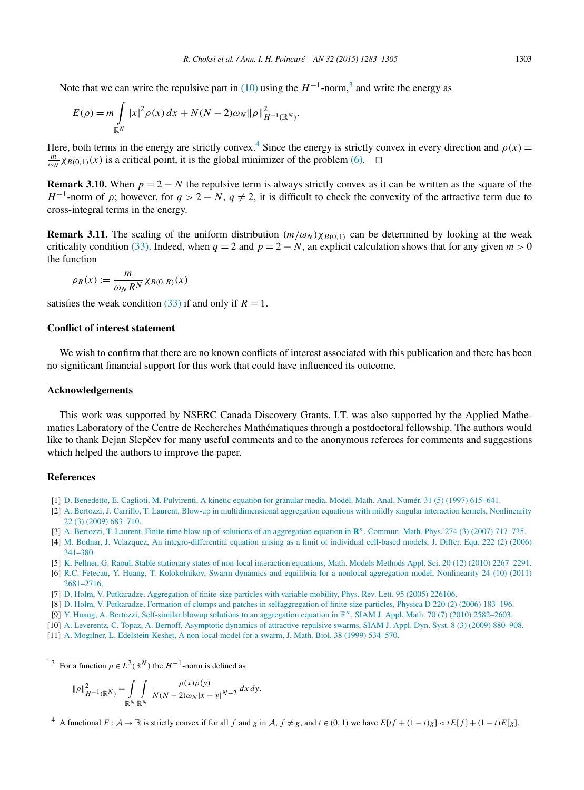<span id="page-20-0"></span>Note that we can write the repulsive part in [\(10\)](#page-6-0) using the  $H^{-1}$ -norm,<sup>3</sup> and write the energy as

$$
E(\rho) = m \int_{\mathbb{R}^N} |x|^2 \rho(x) dx + N(N-2) \omega_N ||\rho||_{H^{-1}(\mathbb{R}^N)}^2.
$$

Here, both terms in the energy are strictly convex.<sup>4</sup> Since the energy is strictly convex in every direction and  $\rho(x)$  =  $\frac{m}{\omega_N}$  *χB*(0,1)(*x*) is a critical point, it is the global minimizer of the problem [\(6\).](#page-4-0)  $\Box$ 

**Remark 3.10.** When  $p = 2 - N$  the repulsive term is always strictly convex as it can be written as the square of the *H*<sup>-1</sup>-norm of  $\rho$ ; however, for  $q > 2 - N$ ,  $q \neq 2$ , it is difficult to check the convexity of the attractive term due to cross-integral terms in the energy.

**Remark 3.11.** The scaling of the uniform distribution  $(m/\omega_N)\chi_{B(0,1)}$  can be determined by looking at the weak criticality condition [\(33\).](#page-19-0) Indeed, when  $q = 2$  and  $p = 2 - N$ , an explicit calculation shows that for any given  $m > 0$ the function

$$
\rho_R(x) := \frac{m}{\omega_N R^N} \chi_{B(0,R)}(x)
$$

satisfies the weak condition [\(33\)](#page-19-0) if and only if  $R = 1$ .

## **Conflict of interest statement**

We wish to confirm that there are no known conflicts of interest associated with this publication and there has been no significant financial support for this work that could have influenced its outcome.

# **Acknowledgements**

This work was supported by NSERC Canada Discovery Grants. I.T. was also supported by the Applied Mathematics Laboratory of the Centre de Recherches Mathématiques through a postdoctoral fellowship. The authors would like to thank Dejan Slepčev for many useful comments and to the anonymous referees for comments and suggestions which helped the authors to improve the paper.

### **References**

- [1] D. [Benedetto,](http://refhub.elsevier.com/S0294-1449(14)00076-6/bib42656E65646574746F5F6574616Cs1) E. Caglioti, M. Pulvirenti, A kinetic equation for granular media, Modél. Math. Anal. Numér. 31 (5) (1997) 615–641.
- [2] A. Bertozzi, J. Carrillo, T. Laurent, Blow-up in [multidimensional](http://refhub.elsevier.com/S0294-1449(14)00076-6/bib426572746F7A7A69436172696C6C6F4C617572656E74s1) aggregation equations with mildly singular interaction kernels, Nonlinearity 22 (3) (2009) [683–710.](http://refhub.elsevier.com/S0294-1449(14)00076-6/bib426572746F7A7A69436172696C6C6F4C617572656E74s1)
- [3] A. Bertozzi, T. Laurent, Finite-time blow-up of solutions of an [aggregation](http://refhub.elsevier.com/S0294-1449(14)00076-6/bib426572746F7A7A694C617572656E74s1) equation in **R***n*, Commun. Math. Phys. 274 (3) (2007) 717–735.
- [4] M. Bodnar, J. Velazquez, An [integro-differential](http://refhub.elsevier.com/S0294-1449(14)00076-6/bib426F646E617256656C61737175657A32s1) equation arising as a limit of individual cell-based models, J. Differ. Equ. 222 (2) (2006) [341–380.](http://refhub.elsevier.com/S0294-1449(14)00076-6/bib426F646E617256656C61737175657A32s1)
- [5] K. Fellner, G. Raoul, Stable stationary states of non-local interaction equations, Math. Models Methods Appl. Sci. 20 (12) (2010) [2267–2291.](http://refhub.elsevier.com/S0294-1449(14)00076-6/bib466552613130s1)
- [6] R.C. Fetecau, Y. Huang, T. [Kolokolnikov,](http://refhub.elsevier.com/S0294-1449(14)00076-6/bib466548754B6F3131s1) Swarm dynamics and equilibria for a nonlocal aggregation model, Nonlinearity 24 (10) (2011) [2681–2716.](http://refhub.elsevier.com/S0294-1449(14)00076-6/bib466548754B6F3131s1)
- [7] D. Holm, V. Putkaradze, [Aggregation](http://refhub.elsevier.com/S0294-1449(14)00076-6/bib486F507532303035s1) of finite-size particles with variable mobility, Phys. Rev. Lett. 95 (2005) 226106.
- [8] D. Holm, V. Putkaradze, Formation of clumps and patches in [selfaggregation](http://refhub.elsevier.com/S0294-1449(14)00076-6/bib486F507532303036s1) of finite-size particles, Physica D 220 (2) (2006) 183–196.
- [9] Y. Huang, A. Bertozzi, Self-similar blowup solutions to an aggregation equation in R*n*, SIAM J. Appl. Math. 70 (7) (2010) [2582–2603.](http://refhub.elsevier.com/S0294-1449(14)00076-6/bib4875426532303130s1)
- [10] A. Leverentz, C. Topaz, A. Bernoff, Asymptotic dynamics of [attractive-repulsive](http://refhub.elsevier.com/S0294-1449(14)00076-6/bib4C65546F426532303039s1) swarms, SIAM J. Appl. Dyn. Syst. 8 (3) (2009) 880–908.
- [11] A. Mogilner, L. [Edelstein-Keshet,](http://refhub.elsevier.com/S0294-1449(14)00076-6/bib4D4Bs1) A non-local model for a swarm, J. Math. Biol. 38 (1999) 534–570.

<sup>3</sup> For a function  $\rho \in L^2(\mathbb{R}^N)$  the  $H^{-1}$ -norm is defined as

$$
\|\rho\|_{H^{-1}(\mathbb{R}^N)}^2 = \int\limits_{\mathbb{R}^N} \int\limits_{\mathbb{R}^N} \frac{\rho(x)\rho(y)}{N(N-2)\omega_N|x-y|^{N-2}} \, dx \, dy.
$$

<sup>4</sup> A functional  $E: A \to \mathbb{R}$  is strictly convex if for all f and g in A,  $f \neq g$ , and  $t \in (0, 1)$  we have  $E[f + (1-t)g] < tE[f] + (1-t)E[g]$ .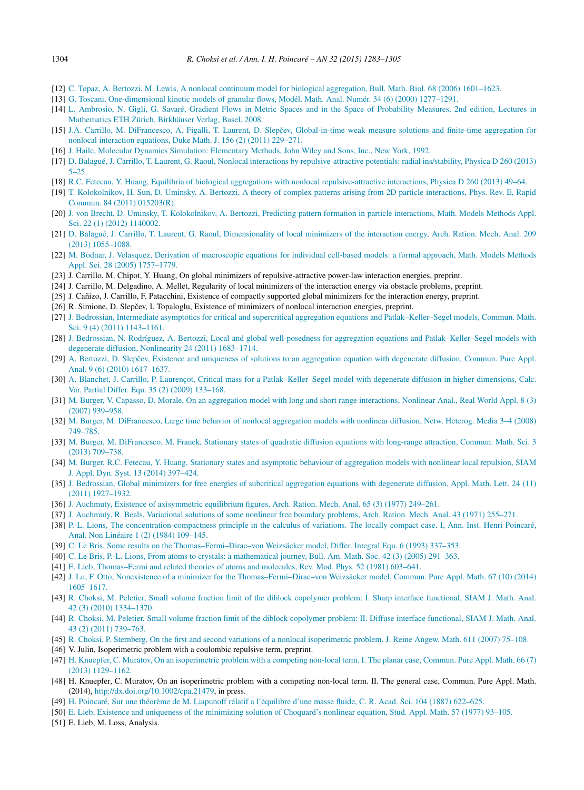- <span id="page-21-0"></span>[12] C. Topaz, A. Bertozzi, M. Lewis, A nonlocal continuum model for biological [aggregation,](http://refhub.elsevier.com/S0294-1449(14)00076-6/bib546F42654C65s1) Bull. Math. Biol. 68 (2006) 1601–1623.
- [13] G. Toscani, [One-dimensional](http://refhub.elsevier.com/S0294-1449(14)00076-6/bib546F7363616E6932303030s1) kinetic models of granular flows, Modél. Math. Anal. Numér. 34 (6) (2000) 1277–1291.
- [14] L. Ambrosio, N. Gigli, G. Savaré, Gradient Flows in Metric Spaces and in the Space of [Probability](http://refhub.elsevier.com/S0294-1449(14)00076-6/bib616D62726F73696F6769676C69736176617265s1) Measures, 2nd edition, Lectures in [Mathematics](http://refhub.elsevier.com/S0294-1449(14)00076-6/bib616D62726F73696F6769676C69736176617265s1) ETH Zürich, Birkhäuser Verlag, Basel, 2008.
- [15] J.A. Carrillo, M. DiFrancesco, A. Figalli, T. Laurent, D. Slepčev, [Global-in-time](http://refhub.elsevier.com/S0294-1449(14)00076-6/bib4361446946694C61536C32303131s1) weak measure solutions and finite-time aggregation for nonlocal [interaction](http://refhub.elsevier.com/S0294-1449(14)00076-6/bib4361446946694C61536C32303131s1) equations, Duke Math. J. 156 (2) (2011) 229–271.
- [16] J. Haile, Molecular Dynamics [Simulation:](http://refhub.elsevier.com/S0294-1449(14)00076-6/bib4861696C6531393932s1) Elementary Methods, John Wiley and Sons, Inc., New York, 1992.
- [17] D. Balagué, J. Carrillo, T. Laurent, G. Raoul, Nonlocal interactions by [repulsive-attractive](http://refhub.elsevier.com/S0294-1449(14)00076-6/bib42616C616775655F6574616C3132s1) potentials: radial ins/stability, Physica D 260 (2013) [5–25.](http://refhub.elsevier.com/S0294-1449(14)00076-6/bib42616C616775655F6574616C3132s1)
- [18] R.C. Fetecau, Y. Huang, Equilibria of biological aggregations with nonlocal [repulsive-attractive](http://refhub.elsevier.com/S0294-1449(14)00076-6/bib466548753133s1) interactions, Physica D 260 (2013) 49–64.
- [19] T. [Kolokolnikov,](http://refhub.elsevier.com/S0294-1449(14)00076-6/bib4B6F5375556D426532303131s1) H. Sun, D. Uminsky, A. Bertozzi, A theory of complex patterns arising from 2D particle interactions, Phys. Rev. E, Rapid Commun. 84 (2011) [015203\(R\).](http://refhub.elsevier.com/S0294-1449(14)00076-6/bib4B6F5375556D426532303131s1)
- [20] J. von Brecht, D. Uminsky, T. [Kolokolnikov,](http://refhub.elsevier.com/S0294-1449(14)00076-6/bib4272656368745F6574616C32303131s1) A. Bertozzi, Predicting pattern formation in particle interactions, Math. Models Methods Appl. Sci. 22 (1) (2012) [1140002.](http://refhub.elsevier.com/S0294-1449(14)00076-6/bib4272656368745F6574616C32303131s1)
- [21] D. Balagué, J. Carrillo, T. Laurent, G. Raoul, [Dimensionality](http://refhub.elsevier.com/S0294-1449(14)00076-6/bib42616C616775655F6574616C3133s1) of local minimizers of the interaction energy, Arch. Ration. Mech. Anal. 209 (2013) [1055–1088.](http://refhub.elsevier.com/S0294-1449(14)00076-6/bib42616C616775655F6574616C3133s1)
- [22] M. Bodnar, J. Velasquez, Derivation of [macroscopic](http://refhub.elsevier.com/S0294-1449(14)00076-6/bib426F646E617256656C61737175657A31s1) equations for individual cell-based models: a formal approach, Math. Models Methods Appl. Sci. 28 (2005) [1757–1779.](http://refhub.elsevier.com/S0294-1449(14)00076-6/bib426F646E617256656C61737175657A31s1)
- [23] J. Carrillo, M. Chipot, Y. Huang, On global minimizers of repulsive-attractive power-law interaction energies, preprint.
- [24] J. Carrillo, M. Delgadino, A. Mellet, Regularity of local minimizers of the interaction energy via obstacle problems, preprint.
- [25] J. Cañizo, J. Carrillo, F. Patacchini, Existence of compactly supported global minimizers for the interaction energy, preprint.
- [26] R. Simione, D. Slepčev, I. Topaloglu, Existence of minimizers of nonlocal interaction energies, preprint.
- [27] J. Bedrossian, Intermediate asymptotics for critical and supercritical aggregation equations and [Patlak–Keller–Segel](http://refhub.elsevier.com/S0294-1449(14)00076-6/bib42656432303130s1) models, Commun. Math. Sci. 9 (4) (2011) [1143–1161.](http://refhub.elsevier.com/S0294-1449(14)00076-6/bib42656432303130s1)
- [28] J. Bedrossian, N. Rodríguez, A. Bertozzi, Local and global well-posedness for aggregation equations and [Patlak–Keller–Segel](http://refhub.elsevier.com/S0294-1449(14)00076-6/bib4265526F426532303131s1) models with degenerate diffusion, [Nonlinearity](http://refhub.elsevier.com/S0294-1449(14)00076-6/bib4265526F426532303131s1) 24 (2011) 1683–1714.
- [29] A. Bertozzi, D. Slepčev, Existence and uniqueness of solutions to an [aggregation](http://refhub.elsevier.com/S0294-1449(14)00076-6/bib426572746F7A7A69536C65706365763130s1) equation with degenerate diffusion, Commun. Pure Appl. Anal. 9 (6) (2010) [1617–1637.](http://refhub.elsevier.com/S0294-1449(14)00076-6/bib426572746F7A7A69536C65706365763130s1)
- [30] A. Blanchet, J. Carrillo, P. Laurençot, Critical mass for a [Patlak–Keller–Segel](http://refhub.elsevier.com/S0294-1449(14)00076-6/bib426C43614C613039s1) model with degenerate diffusion in higher dimensions, Calc. Var. Partial Differ. Equ. 35 (2) (2009) [133–168.](http://refhub.elsevier.com/S0294-1449(14)00076-6/bib426C43614C613039s1)
- [31] M. Burger, V. Capasso, D. Morale, On an aggregation model with long and short range [interactions,](http://refhub.elsevier.com/S0294-1449(14)00076-6/bib4275726765726574616C32s1) Nonlinear Anal., Real World Appl. 8 (3) (2007) [939–958.](http://refhub.elsevier.com/S0294-1449(14)00076-6/bib4275726765726574616C32s1)
- [32] M. Burger, M. [DiFrancesco,](http://refhub.elsevier.com/S0294-1449(14)00076-6/bib4275726765726574616C33s1) Large time behavior of nonlocal aggregation models with nonlinear diffusion, Netw. Heterog. Media 3–4 (2008) [749–785.](http://refhub.elsevier.com/S0294-1449(14)00076-6/bib4275726765726574616C33s1)
- [33] M. Burger, M. [DiFrancesco,](http://refhub.elsevier.com/S0294-1449(14)00076-6/bib4275726765726574616C31s1) M. Franek, Stationary states of quadratic diffusion equations with long-range attraction, Commun. Math. Sci. 3 (2013) [709–738.](http://refhub.elsevier.com/S0294-1449(14)00076-6/bib4275726765726574616C31s1)
- [34] M. Burger, R.C. Fetecau, Y. Huang, Stationary states and asymptotic behaviour of [aggregation](http://refhub.elsevier.com/S0294-1449(14)00076-6/bib4275726765726574616C34s1) models with nonlinear local repulsion, SIAM J. Appl. Dyn. Syst. 13 (2014) [397–424.](http://refhub.elsevier.com/S0294-1449(14)00076-6/bib4275726765726574616C34s1)
- [35] J. Bedrossian, Global minimizers for free energies of subcritical [aggregation](http://refhub.elsevier.com/S0294-1449(14)00076-6/bib426564726F737369616Es1) equations with degenerate diffusion, Appl. Math. Lett. 24 (11) (2011) [1927–1932.](http://refhub.elsevier.com/S0294-1449(14)00076-6/bib426564726F737369616Es1)
- [36] J. Auchmuty, Existence of [axisymmetric](http://refhub.elsevier.com/S0294-1449(14)00076-6/bib41s1) equilibrium figures, Arch. Ration. Mech. Anal. 65 (3) (1977) 249–261.
- [37] J. [Auchmuty,](http://refhub.elsevier.com/S0294-1449(14)00076-6/bib4142s1) R. Beals, Variational solutions of some nonlinear free boundary problems, Arch. Ration. Mech. Anal. 43 (1971) 255–271.
- [38] P.-L. Lions, The [concentration-compactness](http://refhub.elsevier.com/S0294-1449(14)00076-6/bib4Cs1) principle in the calculus of variations. The locally compact case. I, Ann. Inst. Henri Poincaré, Anal. Non Linéaire 1 (2) (1984) [109–145.](http://refhub.elsevier.com/S0294-1449(14)00076-6/bib4Cs1)
- [39] C. Le Bris, Some results on the [Thomas–Fermi–Dirac–von](http://refhub.elsevier.com/S0294-1449(14)00076-6/bib4C6542726973s1) Weizsäcker model, Differ. Integral Equ. 6 (1993) 337–353.
- [40] C. Le Bris, P.-L. Lions, From atoms to crystals: a [mathematical](http://refhub.elsevier.com/S0294-1449(14)00076-6/bib4C654272697332s1) journey, Bull. Am. Math. Soc. 42 (3) (2005) 291–363.
- [41] E. Lieb, [Thomas–Fermi](http://refhub.elsevier.com/S0294-1449(14)00076-6/bib4C6965623831s1) and related theories of atoms and molecules, Rev. Mod. Phys. 52 (1981) 603–641.
- [42] J. Lu, F. Otto, Nonexistence of a minimizer for the [Thomas–Fermi–Dirac–von](http://refhub.elsevier.com/S0294-1449(14)00076-6/bib4C754F74746F3133s1) Weizsäcker model, Commun. Pure Appl. Math. 67 (10) (2014) [1605–1617.](http://refhub.elsevier.com/S0294-1449(14)00076-6/bib4C754F74746F3133s1)
- [43] R. Choksi, M. Peletier, Small volume fraction limit of the diblock copolymer problem: I. Sharp interface [functional,](http://refhub.elsevier.com/S0294-1449(14)00076-6/bib43686F6B736950656C65746965723039s1) SIAM J. Math. Anal. 42 (3) (2010) [1334–1370.](http://refhub.elsevier.com/S0294-1449(14)00076-6/bib43686F6B736950656C65746965723039s1)
- [44] R. Choksi, M. Peletier, Small volume fraction limit of the diblock copolymer problem: II. Diffuse interface [functional,](http://refhub.elsevier.com/S0294-1449(14)00076-6/bib43686F6B736950656C65746965723130s1) SIAM J. Math. Anal. 43 (2) (2011) [739–763.](http://refhub.elsevier.com/S0294-1449(14)00076-6/bib43686F6B736950656C65746965723130s1)
- [45] R. Choksi, P. Sternberg, On the first and second variations of a nonlocal [isoperimetric](http://refhub.elsevier.com/S0294-1449(14)00076-6/bib435332s1) problem, J. Reine Angew. Math. 611 (2007) 75–108.
- [46] V. Julin, Isoperimetric problem with a coulombic repulsive term, preprint.
- [47] H. Knuepfer, C. Muratov, On an [isoperimetric](http://refhub.elsevier.com/S0294-1449(14)00076-6/bib4B6E4D752D31s1) problem with a competing non-local term. I. The planar case, Commun. Pure Appl. Math. 66 (7) (2013) [1129–1162.](http://refhub.elsevier.com/S0294-1449(14)00076-6/bib4B6E4D752D31s1)
- [48] H. Knuepfer, C. Muratov, On an isoperimetric problem with a competing non-local term. II. The general case, Commun. Pure Appl. Math. (2014), <http://dx.doi.org/10.1002/cpa.21479>, in press.
- [49] H. Poincaré, Sur une théorème de M. Liapunoff rélatif a [l'équilibre](http://refhub.elsevier.com/S0294-1449(14)00076-6/bib506F31s1) d'une masse fluide, C. R. Acad. Sci. 104 (1887) 622–625.
- [50] E. Lieb, Existence and uniqueness of the [minimizing](http://refhub.elsevier.com/S0294-1449(14)00076-6/bib4C6932s1) solution of Choquard's nonlinear equation, Stud. Appl. Math. 57 (1977) 93–105. [51] E. Lieb, M. Loss, Analysis.